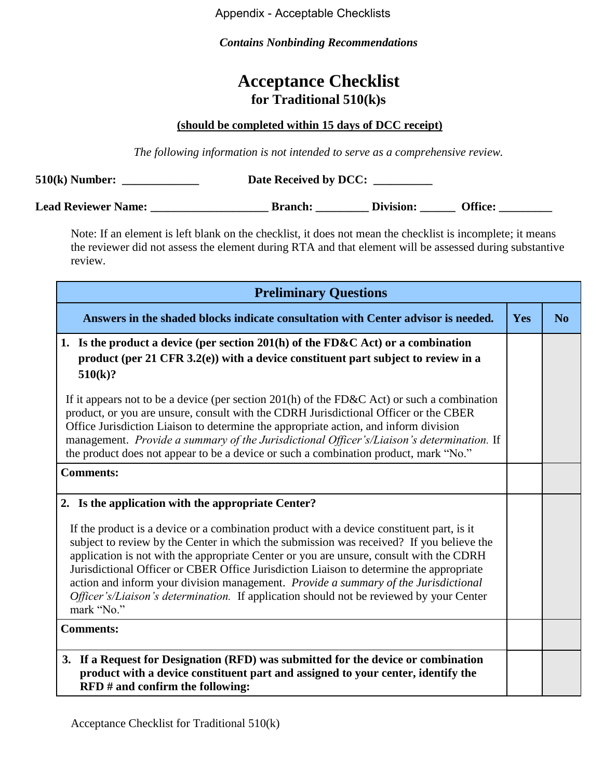Appendix - Acceptable Checklists

*Contains Nonbinding Recommendations* 

## **Acceptance Checklist for Traditional 510(k)s**

## **(should be completed within 15 days of DCC receipt)**

*The following information is not intended to serve as a comprehensive review.* 

| $510(k)$ Number:           | Date Received by DCC: |           |                |  |
|----------------------------|-----------------------|-----------|----------------|--|
| <b>Lead Reviewer Name:</b> | <b>Branch:</b>        | Division: | <b>Office:</b> |  |

Note: If an element is left blank on the checklist, it does not mean the checklist is incomplete; it means the reviewer did not assess the element during RTA and that element will be assessed during substantive review.

| <b>Preliminary Questions</b>                                                                                                                                                                                                                                                                                                                                                                                                                                                                                                                                                |     |                |
|-----------------------------------------------------------------------------------------------------------------------------------------------------------------------------------------------------------------------------------------------------------------------------------------------------------------------------------------------------------------------------------------------------------------------------------------------------------------------------------------------------------------------------------------------------------------------------|-----|----------------|
| Answers in the shaded blocks indicate consultation with Center advisor is needed.                                                                                                                                                                                                                                                                                                                                                                                                                                                                                           | Yes | N <sub>0</sub> |
| 1. Is the product a device (per section 201(h) of the FD&C Act) or a combination<br>product (per 21 CFR 3.2(e)) with a device constituent part subject to review in a<br>510(k)?                                                                                                                                                                                                                                                                                                                                                                                            |     |                |
| If it appears not to be a device (per section $201(h)$ of the FD&C Act) or such a combination<br>product, or you are unsure, consult with the CDRH Jurisdictional Officer or the CBER<br>Office Jurisdiction Liaison to determine the appropriate action, and inform division<br>management. Provide a summary of the Jurisdictional Officer's/Liaison's determination. If<br>the product does not appear to be a device or such a combination product, mark "No."                                                                                                          |     |                |
| <b>Comments:</b>                                                                                                                                                                                                                                                                                                                                                                                                                                                                                                                                                            |     |                |
| 2. Is the application with the appropriate Center?                                                                                                                                                                                                                                                                                                                                                                                                                                                                                                                          |     |                |
| If the product is a device or a combination product with a device constituent part, is it<br>subject to review by the Center in which the submission was received? If you believe the<br>application is not with the appropriate Center or you are unsure, consult with the CDRH<br>Jurisdictional Officer or CBER Office Jurisdiction Liaison to determine the appropriate<br>action and inform your division management. Provide a summary of the Jurisdictional<br>Officer's/Liaison's determination. If application should not be reviewed by your Center<br>mark "No." |     |                |
| <b>Comments:</b>                                                                                                                                                                                                                                                                                                                                                                                                                                                                                                                                                            |     |                |
| 3. If a Request for Designation (RFD) was submitted for the device or combination<br>product with a device constituent part and assigned to your center, identify the<br>$RFD$ # and confirm the following:                                                                                                                                                                                                                                                                                                                                                                 |     |                |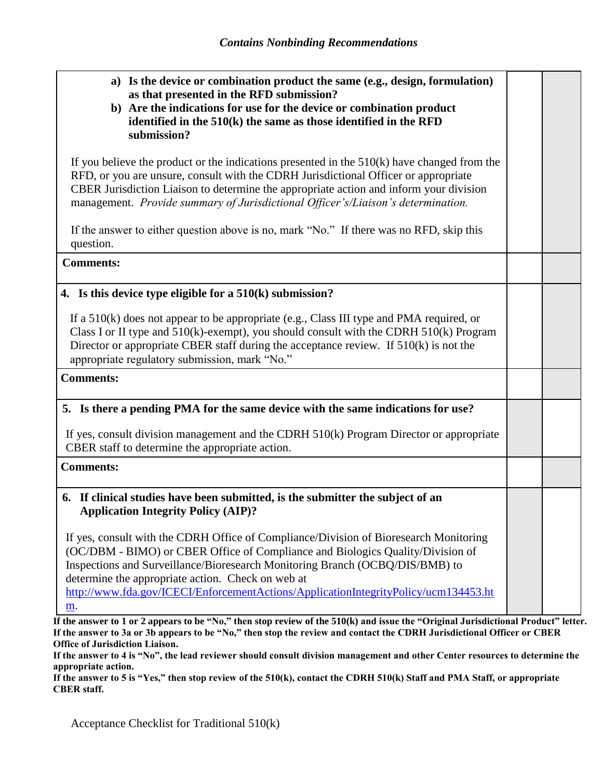| a) Is the device or combination product the same (e.g., design, formulation)<br>as that presented in the RFD submission?<br>b) Are the indications for use for the device or combination product<br>identified in the $510(k)$ the same as those identified in the RFD<br>submission?                                                                                                                     |  |
|-----------------------------------------------------------------------------------------------------------------------------------------------------------------------------------------------------------------------------------------------------------------------------------------------------------------------------------------------------------------------------------------------------------|--|
| If you believe the product or the indications presented in the $510(k)$ have changed from the<br>RFD, or you are unsure, consult with the CDRH Jurisdictional Officer or appropriate<br>CBER Jurisdiction Liaison to determine the appropriate action and inform your division<br>management. Provide summary of Jurisdictional Officer's/Liaison's determination.                                        |  |
| If the answer to either question above is no, mark "No." If there was no RFD, skip this<br>question.                                                                                                                                                                                                                                                                                                      |  |
| <b>Comments:</b>                                                                                                                                                                                                                                                                                                                                                                                          |  |
| 4. Is this device type eligible for a $510(k)$ submission?                                                                                                                                                                                                                                                                                                                                                |  |
| If a $510(k)$ does not appear to be appropriate (e.g., Class III type and PMA required, or<br>Class I or II type and 510(k)-exempt), you should consult with the CDRH 510(k) Program<br>Director or appropriate CBER staff during the acceptance review. If $510(k)$ is not the<br>appropriate regulatory submission, mark "No."                                                                          |  |
| <b>Comments:</b>                                                                                                                                                                                                                                                                                                                                                                                          |  |
| 5. Is there a pending PMA for the same device with the same indications for use?                                                                                                                                                                                                                                                                                                                          |  |
| If yes, consult division management and the CDRH 510(k) Program Director or appropriate<br>CBER staff to determine the appropriate action.                                                                                                                                                                                                                                                                |  |
| <b>Comments:</b>                                                                                                                                                                                                                                                                                                                                                                                          |  |
| If clinical studies have been submitted, is the submitter the subject of an<br>6.<br><b>Application Integrity Policy (AIP)?</b>                                                                                                                                                                                                                                                                           |  |
| If yes, consult with the CDRH Office of Compliance/Division of Bioresearch Monitoring<br>(OC/DBM - BIMO) or CBER Office of Compliance and Biologics Quality/Division of<br>Inspections and Surveillance/Bioresearch Monitoring Branch (OCBQ/DIS/BMB) to<br>determine the appropriate action. Check on web at<br>http://www.fda.gov/ICECI/EnforcementActions/ApplicationIntegrityPolicy/ucm134453.ht<br>m. |  |

**If the answer to 1 or 2 appears to be "No," then stop review of the 510(k) and issue the "Original Jurisdictional Product" letter. If the answer to 3a or 3b appears to be "No," then stop the review and contact the CDRH Jurisdictional Officer or CBER Office of Jurisdiction Liaison.**

**If the answer to 4 is "No", the lead reviewer should consult division management and other Center resources to determine the appropriate action.** 

**If the answer to 5 is "Yes," then stop review of the 510(k), contact the CDRH 510(k) Staff and PMA Staff, or appropriate CBER staff.**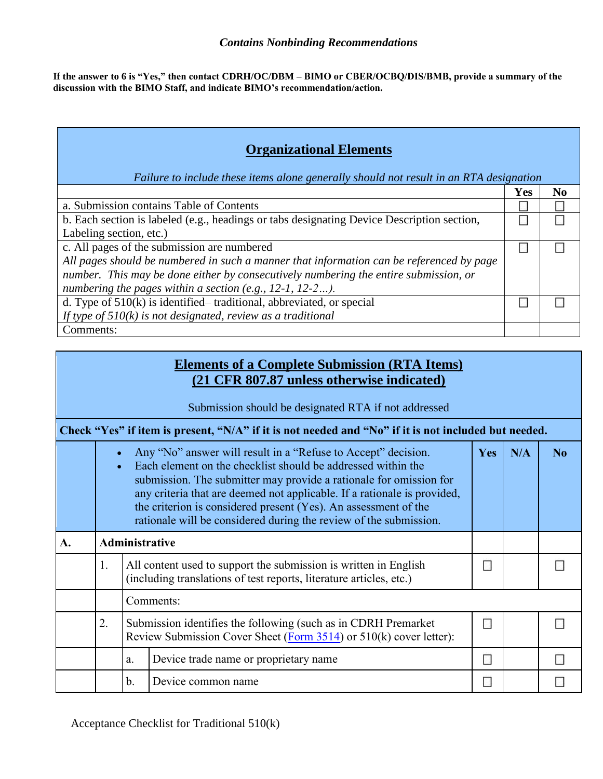**If the answer to 6 is "Yes," then contact CDRH/OC/DBM – BIMO or CBER/OCBQ/DIS/BMB, provide a summary of the discussion with the BIMO Staff, and indicate BIMO's recommendation/action.**

| <b>Organizational Elements</b><br>Failure to include these items alone generally should not result in an RTA designation |            |                |  |  |  |
|--------------------------------------------------------------------------------------------------------------------------|------------|----------------|--|--|--|
|                                                                                                                          | <b>Yes</b> | N <sub>0</sub> |  |  |  |
| a. Submission contains Table of Contents                                                                                 |            |                |  |  |  |
| b. Each section is labeled (e.g., headings or tabs designating Device Description section,                               |            |                |  |  |  |
| Labeling section, etc.)                                                                                                  |            |                |  |  |  |
| c. All pages of the submission are numbered                                                                              |            |                |  |  |  |
| All pages should be numbered in such a manner that information can be referenced by page                                 |            |                |  |  |  |
| number. This may be done either by consecutively numbering the entire submission, or                                     |            |                |  |  |  |
| numbering the pages within a section (e.g., $12-1$ , $12-2$ ).                                                           |            |                |  |  |  |
| d. Type of $510(k)$ is identified–traditional, abbreviated, or special                                                   |            |                |  |  |  |
| If type of $510(k)$ is not designated, review as a traditional                                                           |            |                |  |  |  |
| Comments:                                                                                                                |            |                |  |  |  |

## **Elements of a Complete Submission (RTA Items) (21 CFR 807.87 unless otherwise indicated)**

Submission should be designated RTA if not addressed

| Check "Yes" if item is present, "N/A" if it is not needed and "No" if it is not included but needed. |                |                                                                                                                                       |                                                                                                                                                                                                                                                                                                                                                                                                                         |            |     |    |  |
|------------------------------------------------------------------------------------------------------|----------------|---------------------------------------------------------------------------------------------------------------------------------------|-------------------------------------------------------------------------------------------------------------------------------------------------------------------------------------------------------------------------------------------------------------------------------------------------------------------------------------------------------------------------------------------------------------------------|------------|-----|----|--|
|                                                                                                      |                |                                                                                                                                       | Any "No" answer will result in a "Refuse to Accept" decision.<br>Each element on the checklist should be addressed within the<br>submission. The submitter may provide a rationale for omission for<br>any criteria that are deemed not applicable. If a rationale is provided,<br>the criterion is considered present (Yes). An assessment of the<br>rationale will be considered during the review of the submission. | <b>Yes</b> | N/A | No |  |
| A.                                                                                                   |                | <b>Administrative</b>                                                                                                                 |                                                                                                                                                                                                                                                                                                                                                                                                                         |            |     |    |  |
|                                                                                                      | $\mathbf{1}$ . |                                                                                                                                       | All content used to support the submission is written in English<br>(including translations of test reports, literature articles, etc.)                                                                                                                                                                                                                                                                                 |            |     |    |  |
|                                                                                                      |                |                                                                                                                                       | Comments:                                                                                                                                                                                                                                                                                                                                                                                                               |            |     |    |  |
|                                                                                                      | 2.             | Submission identifies the following (such as in CDRH Premarket)<br>Review Submission Cover Sheet (Form 3514) or 510(k) cover letter): |                                                                                                                                                                                                                                                                                                                                                                                                                         |            |     |    |  |
|                                                                                                      |                | a.                                                                                                                                    | Device trade name or proprietary name                                                                                                                                                                                                                                                                                                                                                                                   |            |     |    |  |
|                                                                                                      |                | b.                                                                                                                                    | Device common name                                                                                                                                                                                                                                                                                                                                                                                                      |            |     |    |  |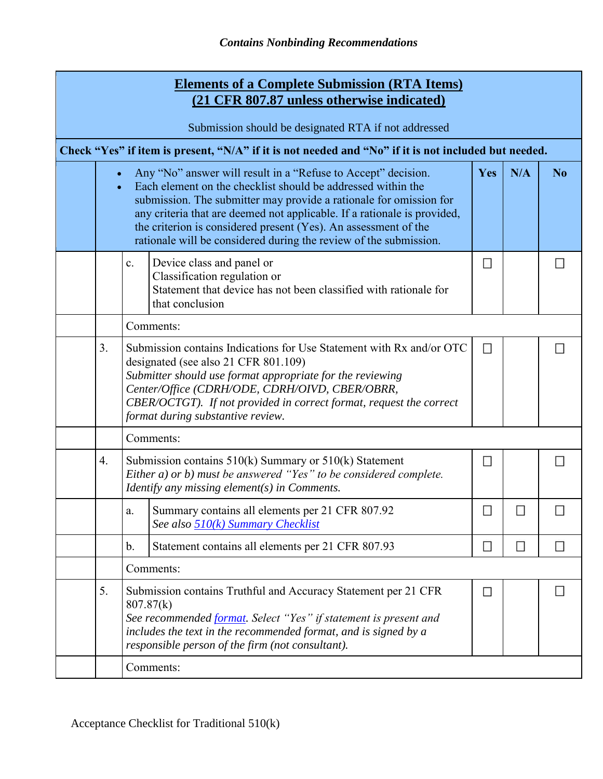|                                                      |                |                                                                                                                                                                                | <b>Elements of a Complete Submission (RTA Items)</b><br>(21 CFR 807.87 unless otherwise indicated)                                                                                                                                                                                                                                                                                                                      |              |                             |                |  |  |
|------------------------------------------------------|----------------|--------------------------------------------------------------------------------------------------------------------------------------------------------------------------------|-------------------------------------------------------------------------------------------------------------------------------------------------------------------------------------------------------------------------------------------------------------------------------------------------------------------------------------------------------------------------------------------------------------------------|--------------|-----------------------------|----------------|--|--|
| Submission should be designated RTA if not addressed |                |                                                                                                                                                                                |                                                                                                                                                                                                                                                                                                                                                                                                                         |              |                             |                |  |  |
|                                                      |                |                                                                                                                                                                                | Check "Yes" if item is present, "N/A" if it is not needed and "No" if it is not included but needed.                                                                                                                                                                                                                                                                                                                    |              |                             |                |  |  |
|                                                      |                |                                                                                                                                                                                | Any "No" answer will result in a "Refuse to Accept" decision.<br>Each element on the checklist should be addressed within the<br>submission. The submitter may provide a rationale for omission for<br>any criteria that are deemed not applicable. If a rationale is provided,<br>the criterion is considered present (Yes). An assessment of the<br>rationale will be considered during the review of the submission. | Yes          | N/A                         | N <sub>0</sub> |  |  |
|                                                      |                | $\mathbf{c}$ .                                                                                                                                                                 | Device class and panel or<br>Classification regulation or<br>Statement that device has not been classified with rationale for<br>that conclusion                                                                                                                                                                                                                                                                        | $\Box$       |                             | B              |  |  |
|                                                      |                |                                                                                                                                                                                | Comments:                                                                                                                                                                                                                                                                                                                                                                                                               |              |                             |                |  |  |
|                                                      | 3 <sub>1</sub> |                                                                                                                                                                                | Submission contains Indications for Use Statement with Rx and/or OTC<br>designated (see also 21 CFR 801.109)<br>Submitter should use format appropriate for the reviewing<br>Center/Office (CDRH/ODE, CDRH/OIVD, CBER/OBRR,<br>CBER/OCTGT). If not provided in correct format, request the correct<br>format during substantive review.                                                                                 | $\mathbb{R}$ |                             | н              |  |  |
|                                                      |                |                                                                                                                                                                                | Comments:                                                                                                                                                                                                                                                                                                                                                                                                               |              |                             |                |  |  |
|                                                      | 4.             | Submission contains 510(k) Summary or 510(k) Statement<br>Either a) or b) must be answered "Yes" to be considered complete.<br>Identify any missing element $(s)$ in Comments. |                                                                                                                                                                                                                                                                                                                                                                                                                         | н            |                             | н              |  |  |
|                                                      |                | $\mathbf{a}.$                                                                                                                                                                  | Summary contains all elements per 21 CFR 807.92<br>See also 510(k) Summary Checklist                                                                                                                                                                                                                                                                                                                                    | □            | $\mathcal{L}_{\mathcal{A}}$ | $\Box$         |  |  |
|                                                      |                | $\mathbf b$ .                                                                                                                                                                  | Statement contains all elements per 21 CFR 807.93                                                                                                                                                                                                                                                                                                                                                                       | L.           | $\mathcal{L}_{\mathcal{A}}$ | E.             |  |  |
|                                                      |                |                                                                                                                                                                                | Comments:                                                                                                                                                                                                                                                                                                                                                                                                               |              |                             |                |  |  |
|                                                      | 5.             |                                                                                                                                                                                | Submission contains Truthful and Accuracy Statement per 21 CFR<br>Н<br>П<br>807.87(k)<br>See recommended format. Select "Yes" if statement is present and<br>includes the text in the recommended format, and is signed by a<br>responsible person of the firm (not consultant).                                                                                                                                        |              |                             |                |  |  |
|                                                      |                |                                                                                                                                                                                | Comments:                                                                                                                                                                                                                                                                                                                                                                                                               |              |                             |                |  |  |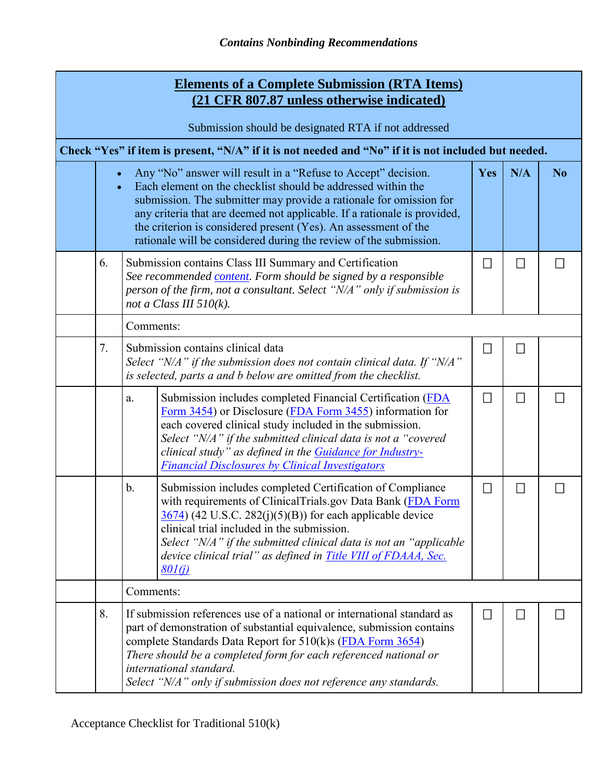|                                                                                                                                                                                                                                                                                                                                                                                                                                                         | <b>Elements of a Complete Submission (RTA Items)</b><br>(21 CFR 807.87 unless otherwise indicated)                                                                                                                                                                                                                                                                                                                       |        |        |  |  |  |  |  |
|---------------------------------------------------------------------------------------------------------------------------------------------------------------------------------------------------------------------------------------------------------------------------------------------------------------------------------------------------------------------------------------------------------------------------------------------------------|--------------------------------------------------------------------------------------------------------------------------------------------------------------------------------------------------------------------------------------------------------------------------------------------------------------------------------------------------------------------------------------------------------------------------|--------|--------|--|--|--|--|--|
| Submission should be designated RTA if not addressed                                                                                                                                                                                                                                                                                                                                                                                                    |                                                                                                                                                                                                                                                                                                                                                                                                                          |        |        |  |  |  |  |  |
|                                                                                                                                                                                                                                                                                                                                                                                                                                                         | Check "Yes" if item is present, "N/A" if it is not needed and "No" if it is not included but needed.                                                                                                                                                                                                                                                                                                                     |        |        |  |  |  |  |  |
| Any "No" answer will result in a "Refuse to Accept" decision.<br>N/A<br>N <sub>o</sub><br>Yes<br>Each element on the checklist should be addressed within the<br>submission. The submitter may provide a rationale for omission for<br>any criteria that are deemed not applicable. If a rationale is provided,<br>the criterion is considered present (Yes). An assessment of the<br>rationale will be considered during the review of the submission. |                                                                                                                                                                                                                                                                                                                                                                                                                          |        |        |  |  |  |  |  |
| 6.                                                                                                                                                                                                                                                                                                                                                                                                                                                      | Submission contains Class III Summary and Certification<br>See recommended content. Form should be signed by a responsible<br>person of the firm, not a consultant. Select "N/A" only if submission is<br>not a Class III $510(k)$ .                                                                                                                                                                                     | ◘      | $\Box$ |  |  |  |  |  |
|                                                                                                                                                                                                                                                                                                                                                                                                                                                         | Comments:                                                                                                                                                                                                                                                                                                                                                                                                                |        |        |  |  |  |  |  |
| 7.                                                                                                                                                                                                                                                                                                                                                                                                                                                      | Submission contains clinical data<br>Select " $N/A$ " if the submission does not contain clinical data. If " $N/A$ "<br>is selected, parts a and b below are omitted from the checklist.                                                                                                                                                                                                                                 | B      | П      |  |  |  |  |  |
|                                                                                                                                                                                                                                                                                                                                                                                                                                                         | Submission includes completed Financial Certification (FDA<br>a.<br>Form 3454) or Disclosure (FDA Form 3455) information for<br>each covered clinical study included in the submission.<br>Select "N/A" if the submitted clinical data is not a "covered<br>clinical study" as defined in the <b>Guidance for Industry-</b><br><b>Financial Disclosures by Clinical Investigators</b>                                    | $\Box$ | $\Box$ |  |  |  |  |  |
|                                                                                                                                                                                                                                                                                                                                                                                                                                                         | $\mathbf b$ .<br>Submission includes completed Certification of Compliance<br>with requirements of ClinicalTrials.gov Data Bank (FDA Form<br>$\frac{3674}{2}$ (42 U.S.C. 282(j)(5)(B)) for each applicable device<br>clinical trial included in the submission.<br>Select "N/A" if the submitted clinical data is not an "applicable"<br>device clinical trial" as defined in <b>Title VIII</b> of FDAAA, Sec.<br>801(i) | $\Box$ | $\Box$ |  |  |  |  |  |
|                                                                                                                                                                                                                                                                                                                                                                                                                                                         | Comments:                                                                                                                                                                                                                                                                                                                                                                                                                |        |        |  |  |  |  |  |
| 8.                                                                                                                                                                                                                                                                                                                                                                                                                                                      | If submission references use of a national or international standard as<br>part of demonstration of substantial equivalence, submission contains<br>complete Standards Data Report for 510(k)s (FDA Form 3654)<br>There should be a completed form for each referenced national or<br>international standard.<br>Select "N/A" only if submission does not reference any standards.                                       |        | $\Box$ |  |  |  |  |  |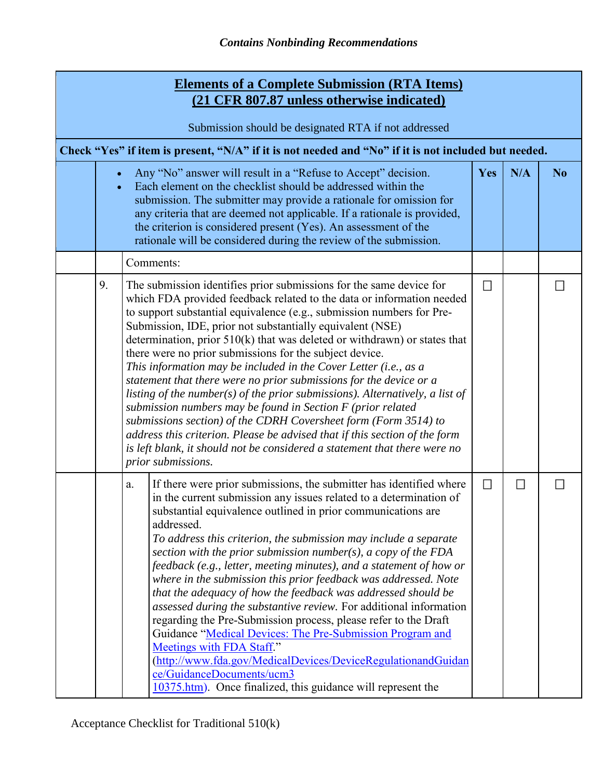| <b>Elements of a Complete Submission (RTA Items)</b><br>(21 CFR 807.87 unless otherwise indicated) |                                                                                                                                                                                                                                                                                                                                                                                                                                                                                                                                                                                                                                                                                                                                                                                                                                                                                                                                                                                |                             |                |  |  |  |  |  |
|----------------------------------------------------------------------------------------------------|--------------------------------------------------------------------------------------------------------------------------------------------------------------------------------------------------------------------------------------------------------------------------------------------------------------------------------------------------------------------------------------------------------------------------------------------------------------------------------------------------------------------------------------------------------------------------------------------------------------------------------------------------------------------------------------------------------------------------------------------------------------------------------------------------------------------------------------------------------------------------------------------------------------------------------------------------------------------------------|-----------------------------|----------------|--|--|--|--|--|
| Submission should be designated RTA if not addressed                                               |                                                                                                                                                                                                                                                                                                                                                                                                                                                                                                                                                                                                                                                                                                                                                                                                                                                                                                                                                                                |                             |                |  |  |  |  |  |
|                                                                                                    | Check "Yes" if item is present, "N/A" if it is not needed and "No" if it is not included but needed.                                                                                                                                                                                                                                                                                                                                                                                                                                                                                                                                                                                                                                                                                                                                                                                                                                                                           |                             |                |  |  |  |  |  |
| $\bullet$                                                                                          | Yes                                                                                                                                                                                                                                                                                                                                                                                                                                                                                                                                                                                                                                                                                                                                                                                                                                                                                                                                                                            | N/A                         | N <sub>o</sub> |  |  |  |  |  |
|                                                                                                    | Comments:                                                                                                                                                                                                                                                                                                                                                                                                                                                                                                                                                                                                                                                                                                                                                                                                                                                                                                                                                                      |                             |                |  |  |  |  |  |
| 9.                                                                                                 | The submission identifies prior submissions for the same device for<br>which FDA provided feedback related to the data or information needed<br>to support substantial equivalence (e.g., submission numbers for Pre-<br>Submission, IDE, prior not substantially equivalent (NSE)<br>determination, prior $510(k)$ that was deleted or withdrawn) or states that<br>there were no prior submissions for the subject device.<br>This information may be included in the Cover Letter (i.e., as a<br>statement that there were no prior submissions for the device or a<br>listing of the number(s) of the prior submissions). Alternatively, a list of<br>submission numbers may be found in Section $F$ (prior related<br>submissions section) of the CDRH Coversheet form (Form 3514) to<br>address this criterion. Please be advised that if this section of the form<br>is left blank, it should not be considered a statement that there were no<br>prior submissions.    | $\mathcal{L}_{\mathcal{A}}$ |                |  |  |  |  |  |
|                                                                                                    | If there were prior submissions, the submitter has identified where<br>a.<br>in the current submission any issues related to a determination of<br>substantial equivalence outlined in prior communications are<br>addressed.<br>To address this criterion, the submission may include a separate<br>section with the prior submission number(s), a copy of the FDA<br>feedback (e.g., letter, meeting minutes), and a statement of how or<br>where in the submission this prior feedback was addressed. Note<br>that the adequacy of how the feedback was addressed should be<br>assessed during the substantive review. For additional information<br>regarding the Pre-Submission process, please refer to the Draft<br>Guidance "Medical Devices: The Pre-Submission Program and<br>Meetings with FDA Staff."<br>(http://www.fda.gov/MedicalDevices/DeviceRegulationandGuidan<br>ce/GuidanceDocuments/ucm3<br>10375.htm). Once finalized, this guidance will represent the | $\mathcal{L}_{\mathcal{A}}$ | $\Box$         |  |  |  |  |  |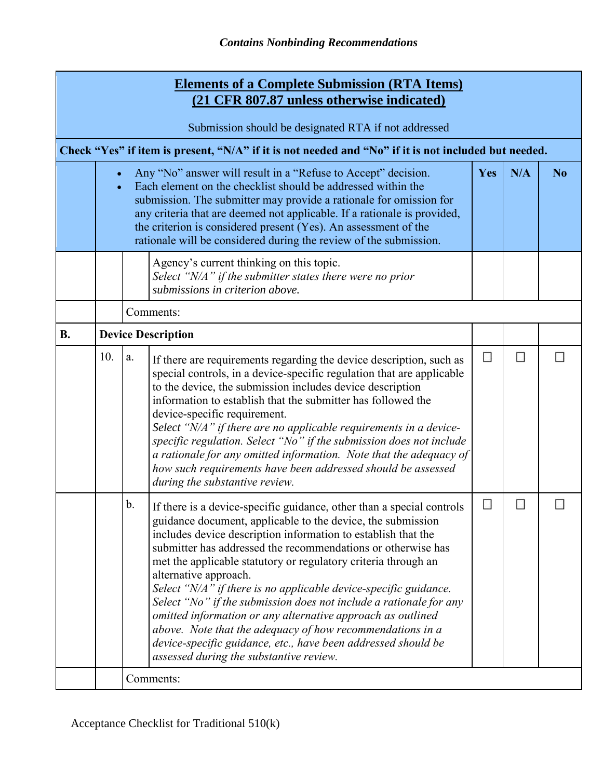| <b>Elements of a Complete Submission (RTA Items)</b><br>(21 CFR 807.87 unless otherwise indicated) |     |                                                                                                                                                                                                                                                                                                                                                                                                                         |                                                                                                                                                                                                                                                                                                                                                                                                                                                                                                                                                                                                                                                                                                                                                                 |                             |                |  |  |  |
|----------------------------------------------------------------------------------------------------|-----|-------------------------------------------------------------------------------------------------------------------------------------------------------------------------------------------------------------------------------------------------------------------------------------------------------------------------------------------------------------------------------------------------------------------------|-----------------------------------------------------------------------------------------------------------------------------------------------------------------------------------------------------------------------------------------------------------------------------------------------------------------------------------------------------------------------------------------------------------------------------------------------------------------------------------------------------------------------------------------------------------------------------------------------------------------------------------------------------------------------------------------------------------------------------------------------------------------|-----------------------------|----------------|--|--|--|
| Submission should be designated RTA if not addressed                                               |     |                                                                                                                                                                                                                                                                                                                                                                                                                         |                                                                                                                                                                                                                                                                                                                                                                                                                                                                                                                                                                                                                                                                                                                                                                 |                             |                |  |  |  |
|                                                                                                    |     |                                                                                                                                                                                                                                                                                                                                                                                                                         | Check "Yes" if item is present, "N/A" if it is not needed and "No" if it is not included but needed.                                                                                                                                                                                                                                                                                                                                                                                                                                                                                                                                                                                                                                                            |                             |                |  |  |  |
|                                                                                                    |     | Any "No" answer will result in a "Refuse to Accept" decision.<br>Each element on the checklist should be addressed within the<br>submission. The submitter may provide a rationale for omission for<br>any criteria that are deemed not applicable. If a rationale is provided,<br>the criterion is considered present (Yes). An assessment of the<br>rationale will be considered during the review of the submission. | <b>Yes</b>                                                                                                                                                                                                                                                                                                                                                                                                                                                                                                                                                                                                                                                                                                                                                      | N/A                         | N <sub>o</sub> |  |  |  |
|                                                                                                    |     |                                                                                                                                                                                                                                                                                                                                                                                                                         | Agency's current thinking on this topic.<br>Select "N/A" if the submitter states there were no prior<br>submissions in criterion above.                                                                                                                                                                                                                                                                                                                                                                                                                                                                                                                                                                                                                         |                             |                |  |  |  |
|                                                                                                    |     |                                                                                                                                                                                                                                                                                                                                                                                                                         | Comments:                                                                                                                                                                                                                                                                                                                                                                                                                                                                                                                                                                                                                                                                                                                                                       |                             |                |  |  |  |
| <b>B.</b>                                                                                          |     |                                                                                                                                                                                                                                                                                                                                                                                                                         | <b>Device Description</b>                                                                                                                                                                                                                                                                                                                                                                                                                                                                                                                                                                                                                                                                                                                                       |                             |                |  |  |  |
|                                                                                                    | 10. | $\mathbf{a}.$                                                                                                                                                                                                                                                                                                                                                                                                           | If there are requirements regarding the device description, such as<br>special controls, in a device-specific regulation that are applicable<br>to the device, the submission includes device description<br>information to establish that the submitter has followed the<br>device-specific requirement.<br>Select "N/A" if there are no applicable requirements in a device-<br>specific regulation. Select "No" if the submission does not include<br>a rationale for any omitted information. Note that the adequacy of<br>how such requirements have been addressed should be assessed<br>during the substantive review.                                                                                                                                   | $\mathcal{L}_{\mathcal{A}}$ | $\Box$         |  |  |  |
|                                                                                                    |     | b.                                                                                                                                                                                                                                                                                                                                                                                                                      | If there is a device-specific guidance, other than a special controls<br>guidance document, applicable to the device, the submission<br>includes device description information to establish that the<br>submitter has addressed the recommendations or otherwise has<br>met the applicable statutory or regulatory criteria through an<br>alternative approach.<br>Select "N/A" if there is no applicable device-specific guidance.<br>Select "No" if the submission does not include a rationale for any<br>omitted information or any alternative approach as outlined<br>above. Note that the adequacy of how recommendations in a<br>device-specific guidance, etc., have been addressed should be<br>assessed during the substantive review.<br>Comments: |                             |                |  |  |  |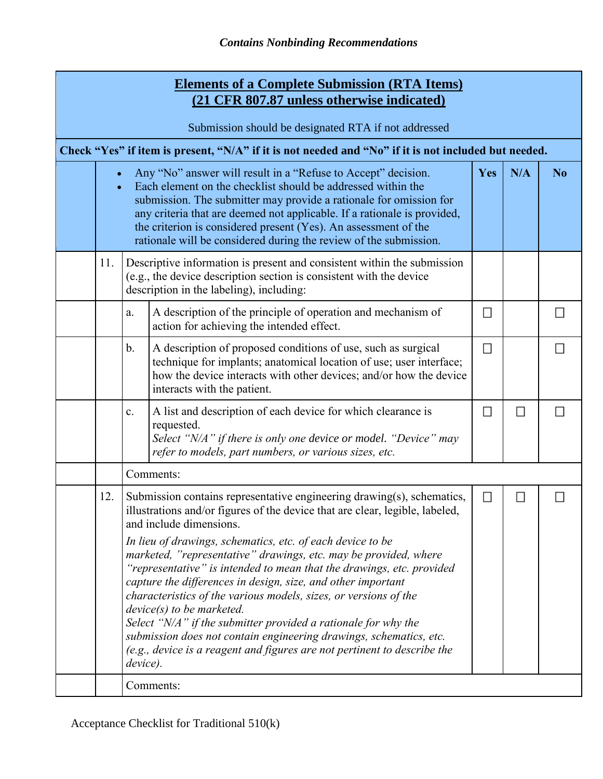|                                                      | <b>Elements of a Complete Submission (RTA Items)</b><br>(21 CFR 807.87 unless otherwise indicated)                                                                                                                                                                                                                                                                                                                                                                                |                |                                                                                                                                                                                                                                                                                                                                                                                                                                                                                                                                                                                                                                                                                                                                                                                     |                             |                             |   |  |  |
|------------------------------------------------------|-----------------------------------------------------------------------------------------------------------------------------------------------------------------------------------------------------------------------------------------------------------------------------------------------------------------------------------------------------------------------------------------------------------------------------------------------------------------------------------|----------------|-------------------------------------------------------------------------------------------------------------------------------------------------------------------------------------------------------------------------------------------------------------------------------------------------------------------------------------------------------------------------------------------------------------------------------------------------------------------------------------------------------------------------------------------------------------------------------------------------------------------------------------------------------------------------------------------------------------------------------------------------------------------------------------|-----------------------------|-----------------------------|---|--|--|
| Submission should be designated RTA if not addressed |                                                                                                                                                                                                                                                                                                                                                                                                                                                                                   |                |                                                                                                                                                                                                                                                                                                                                                                                                                                                                                                                                                                                                                                                                                                                                                                                     |                             |                             |   |  |  |
|                                                      |                                                                                                                                                                                                                                                                                                                                                                                                                                                                                   |                | Check "Yes" if item is present, "N/A" if it is not needed and "No" if it is not included but needed.                                                                                                                                                                                                                                                                                                                                                                                                                                                                                                                                                                                                                                                                                |                             |                             |   |  |  |
|                                                      | Any "No" answer will result in a "Refuse to Accept" decision.<br>N/A<br>N <sub>o</sub><br>Yes<br>$\bullet$<br>Each element on the checklist should be addressed within the<br>$\bullet$<br>submission. The submitter may provide a rationale for omission for<br>any criteria that are deemed not applicable. If a rationale is provided,<br>the criterion is considered present (Yes). An assessment of the<br>rationale will be considered during the review of the submission. |                |                                                                                                                                                                                                                                                                                                                                                                                                                                                                                                                                                                                                                                                                                                                                                                                     |                             |                             |   |  |  |
|                                                      | 11.                                                                                                                                                                                                                                                                                                                                                                                                                                                                               |                | Descriptive information is present and consistent within the submission<br>(e.g., the device description section is consistent with the device<br>description in the labeling), including:                                                                                                                                                                                                                                                                                                                                                                                                                                                                                                                                                                                          |                             |                             |   |  |  |
|                                                      |                                                                                                                                                                                                                                                                                                                                                                                                                                                                                   | a.             | A description of the principle of operation and mechanism of<br>action for achieving the intended effect.                                                                                                                                                                                                                                                                                                                                                                                                                                                                                                                                                                                                                                                                           | $\mathcal{L}_{\mathcal{A}}$ |                             | ◘ |  |  |
|                                                      |                                                                                                                                                                                                                                                                                                                                                                                                                                                                                   | $\mathbf b$ .  | A description of proposed conditions of use, such as surgical<br>technique for implants; anatomical location of use; user interface;<br>how the device interacts with other devices; and/or how the device<br>interacts with the patient.                                                                                                                                                                                                                                                                                                                                                                                                                                                                                                                                           | $\mathcal{L}_{\mathcal{A}}$ |                             |   |  |  |
|                                                      |                                                                                                                                                                                                                                                                                                                                                                                                                                                                                   | $\mathbf{c}$ . | A list and description of each device for which clearance is<br>requested.<br>Select "N/A" if there is only one device or model. "Device" may<br>refer to models, part numbers, or various sizes, etc.                                                                                                                                                                                                                                                                                                                                                                                                                                                                                                                                                                              | $\mathcal{L}$               | $\mathcal{L}_{\mathcal{A}}$ |   |  |  |
|                                                      |                                                                                                                                                                                                                                                                                                                                                                                                                                                                                   |                | Comments:                                                                                                                                                                                                                                                                                                                                                                                                                                                                                                                                                                                                                                                                                                                                                                           |                             |                             |   |  |  |
|                                                      | 12.                                                                                                                                                                                                                                                                                                                                                                                                                                                                               | device).       | Submission contains representative engineering drawing(s), schematics,<br>illustrations and/or figures of the device that are clear, legible, labeled,<br>and include dimensions.<br>In lieu of drawings, schematics, etc. of each device to be<br>marketed, "representative" drawings, etc. may be provided, where<br>"representative" is intended to mean that the drawings, etc. provided<br>capture the differences in design, size, and other important<br>characteristics of the various models, sizes, or versions of the<br>$device(s)$ to be marketed.<br>Select "N/A" if the submitter provided a rationale for why the<br>submission does not contain engineering drawings, schematics, etc.<br>(e.g., device is a reagent and figures are not pertinent to describe the | $\Box$                      | □                           |   |  |  |
|                                                      |                                                                                                                                                                                                                                                                                                                                                                                                                                                                                   |                | Comments:                                                                                                                                                                                                                                                                                                                                                                                                                                                                                                                                                                                                                                                                                                                                                                           |                             |                             |   |  |  |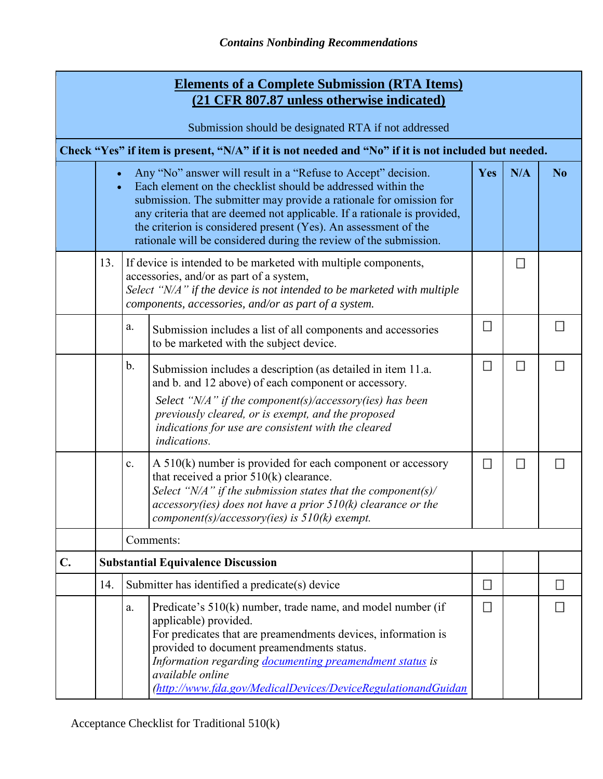|    |                                                      | <b>Elements of a Complete Submission (RTA Items)</b><br>(21 CFR 807.87 unless otherwise indicated)                                                                                                                                                                                                                                                                                                                      |            |                          |                |  |  |  |  |
|----|------------------------------------------------------|-------------------------------------------------------------------------------------------------------------------------------------------------------------------------------------------------------------------------------------------------------------------------------------------------------------------------------------------------------------------------------------------------------------------------|------------|--------------------------|----------------|--|--|--|--|
|    | Submission should be designated RTA if not addressed |                                                                                                                                                                                                                                                                                                                                                                                                                         |            |                          |                |  |  |  |  |
|    |                                                      | Check "Yes" if item is present, "N/A" if it is not needed and "No" if it is not included but needed.                                                                                                                                                                                                                                                                                                                    |            |                          |                |  |  |  |  |
|    |                                                      | Any "No" answer will result in a "Refuse to Accept" decision.<br>Each element on the checklist should be addressed within the<br>submission. The submitter may provide a rationale for omission for<br>any criteria that are deemed not applicable. If a rationale is provided,<br>the criterion is considered present (Yes). An assessment of the<br>rationale will be considered during the review of the submission. | <b>Yes</b> | N/A                      | N <sub>o</sub> |  |  |  |  |
|    | 13.                                                  | If device is intended to be marketed with multiple components,<br>accessories, and/or as part of a system,<br>Select "N/A" if the device is not intended to be marketed with multiple<br>components, accessories, and/or as part of a system.                                                                                                                                                                           |            | $\overline{\phantom{a}}$ |                |  |  |  |  |
|    |                                                      | a.<br>Submission includes a list of all components and accessories<br>to be marketed with the subject device.                                                                                                                                                                                                                                                                                                           | $\Box$     |                          |                |  |  |  |  |
|    |                                                      | b.<br>Submission includes a description (as detailed in item 11.a.<br>and b. and 12 above) of each component or accessory.<br>Select " $N/A$ " if the component(s)/accessory(ies) has been<br>previously cleared, or is exempt, and the proposed<br>indications for use are consistent with the cleared<br>indications.                                                                                                 | $\Box$     | $\Box$                   |                |  |  |  |  |
|    |                                                      | A $510(k)$ number is provided for each component or accessory<br>$\mathbf{c}$ .<br>that received a prior $510(k)$ clearance.<br>Select " $N/A$ " if the submission states that the component(s)/<br>$accessory(ies)$ does not have a prior $510(k)$ clearance or the<br>component(s)/accessory(ies) is $510(k)$ exempt.                                                                                                 | π          | $\Box$                   |                |  |  |  |  |
|    |                                                      | Comments:                                                                                                                                                                                                                                                                                                                                                                                                               |            |                          |                |  |  |  |  |
| C. |                                                      | <b>Substantial Equivalence Discussion</b>                                                                                                                                                                                                                                                                                                                                                                               |            |                          |                |  |  |  |  |
|    | 14.                                                  | Submitter has identified a predicate(s) device                                                                                                                                                                                                                                                                                                                                                                          | $\Box$     |                          | $\Box$         |  |  |  |  |
|    |                                                      | Predicate's 510(k) number, trade name, and model number (if<br>a.<br>applicable) provided.<br>For predicates that are preamendments devices, information is<br>provided to document preamendments status.<br>Information regarding documenting preamendment status is<br>available online<br>(http://www.fda.gov/MedicalDevices/DeviceRegulationandGuidan                                                               | $\Box$     |                          |                |  |  |  |  |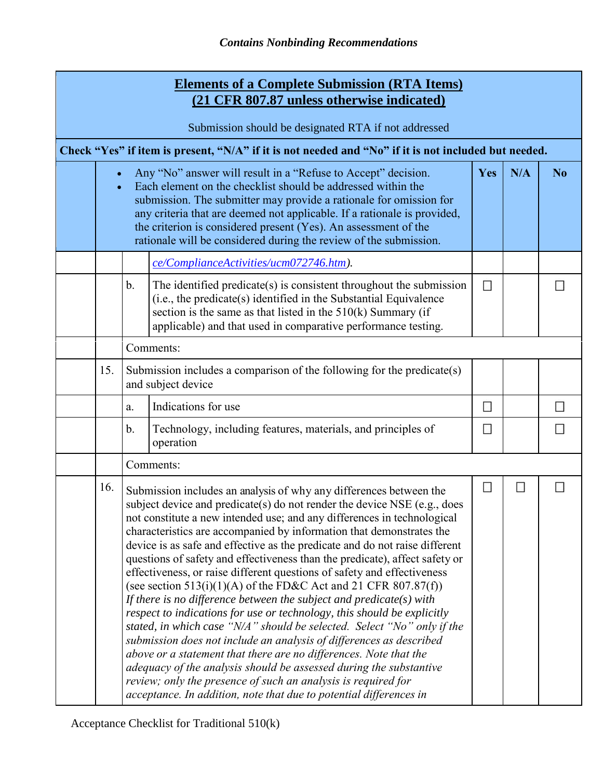| <b>Elements of a Complete Submission (RTA Items)</b><br>(21 CFR 807.87 unless otherwise indicated) |                                                                                                                                                                                                                                                                                                                                                                                                                                                                                                                                                                                                                                                                                                                                                                                                                                                                                                                                                                                                                                                                                                                                                                                                            |                                                                                                                                                                                                                                                                                                                                                                                                                                             |                                                                                                                                                                                                                                                                             |                             |  |                |  |  |  |
|----------------------------------------------------------------------------------------------------|------------------------------------------------------------------------------------------------------------------------------------------------------------------------------------------------------------------------------------------------------------------------------------------------------------------------------------------------------------------------------------------------------------------------------------------------------------------------------------------------------------------------------------------------------------------------------------------------------------------------------------------------------------------------------------------------------------------------------------------------------------------------------------------------------------------------------------------------------------------------------------------------------------------------------------------------------------------------------------------------------------------------------------------------------------------------------------------------------------------------------------------------------------------------------------------------------------|---------------------------------------------------------------------------------------------------------------------------------------------------------------------------------------------------------------------------------------------------------------------------------------------------------------------------------------------------------------------------------------------------------------------------------------------|-----------------------------------------------------------------------------------------------------------------------------------------------------------------------------------------------------------------------------------------------------------------------------|-----------------------------|--|----------------|--|--|--|
|                                                                                                    | Submission should be designated RTA if not addressed                                                                                                                                                                                                                                                                                                                                                                                                                                                                                                                                                                                                                                                                                                                                                                                                                                                                                                                                                                                                                                                                                                                                                       |                                                                                                                                                                                                                                                                                                                                                                                                                                             |                                                                                                                                                                                                                                                                             |                             |  |                |  |  |  |
|                                                                                                    |                                                                                                                                                                                                                                                                                                                                                                                                                                                                                                                                                                                                                                                                                                                                                                                                                                                                                                                                                                                                                                                                                                                                                                                                            |                                                                                                                                                                                                                                                                                                                                                                                                                                             | Check "Yes" if item is present, "N/A" if it is not needed and "No" if it is not included but needed.                                                                                                                                                                        |                             |  |                |  |  |  |
|                                                                                                    |                                                                                                                                                                                                                                                                                                                                                                                                                                                                                                                                                                                                                                                                                                                                                                                                                                                                                                                                                                                                                                                                                                                                                                                                            | Any "No" answer will result in a "Refuse to Accept" decision.<br>Yes<br>$\bullet$<br>Each element on the checklist should be addressed within the<br>submission. The submitter may provide a rationale for omission for<br>any criteria that are deemed not applicable. If a rationale is provided,<br>the criterion is considered present (Yes). An assessment of the<br>rationale will be considered during the review of the submission. |                                                                                                                                                                                                                                                                             |                             |  | N <sub>o</sub> |  |  |  |
|                                                                                                    |                                                                                                                                                                                                                                                                                                                                                                                                                                                                                                                                                                                                                                                                                                                                                                                                                                                                                                                                                                                                                                                                                                                                                                                                            |                                                                                                                                                                                                                                                                                                                                                                                                                                             | ce/ComplianceActivities/ucm072746.htm).                                                                                                                                                                                                                                     |                             |  |                |  |  |  |
|                                                                                                    |                                                                                                                                                                                                                                                                                                                                                                                                                                                                                                                                                                                                                                                                                                                                                                                                                                                                                                                                                                                                                                                                                                                                                                                                            | $\mathbf b$ .                                                                                                                                                                                                                                                                                                                                                                                                                               | The identified predicate(s) is consistent throughout the submission<br>(i.e., the predicate(s) identified in the Substantial Equivalence<br>section is the same as that listed in the $510(k)$ Summary (if<br>applicable) and that used in comparative performance testing. | $\mathcal{L}_{\mathcal{A}}$ |  |                |  |  |  |
|                                                                                                    |                                                                                                                                                                                                                                                                                                                                                                                                                                                                                                                                                                                                                                                                                                                                                                                                                                                                                                                                                                                                                                                                                                                                                                                                            |                                                                                                                                                                                                                                                                                                                                                                                                                                             | Comments:                                                                                                                                                                                                                                                                   |                             |  |                |  |  |  |
|                                                                                                    | 15.                                                                                                                                                                                                                                                                                                                                                                                                                                                                                                                                                                                                                                                                                                                                                                                                                                                                                                                                                                                                                                                                                                                                                                                                        | Submission includes a comparison of the following for the predicate(s)<br>and subject device                                                                                                                                                                                                                                                                                                                                                |                                                                                                                                                                                                                                                                             |                             |  |                |  |  |  |
|                                                                                                    |                                                                                                                                                                                                                                                                                                                                                                                                                                                                                                                                                                                                                                                                                                                                                                                                                                                                                                                                                                                                                                                                                                                                                                                                            | a.                                                                                                                                                                                                                                                                                                                                                                                                                                          | Indications for use                                                                                                                                                                                                                                                         | $\mathcal{L}$               |  | П              |  |  |  |
|                                                                                                    |                                                                                                                                                                                                                                                                                                                                                                                                                                                                                                                                                                                                                                                                                                                                                                                                                                                                                                                                                                                                                                                                                                                                                                                                            | $\mathbf{b}$ .                                                                                                                                                                                                                                                                                                                                                                                                                              | Technology, including features, materials, and principles of<br>operation                                                                                                                                                                                                   | $\Box$                      |  |                |  |  |  |
|                                                                                                    |                                                                                                                                                                                                                                                                                                                                                                                                                                                                                                                                                                                                                                                                                                                                                                                                                                                                                                                                                                                                                                                                                                                                                                                                            |                                                                                                                                                                                                                                                                                                                                                                                                                                             | Comments:                                                                                                                                                                                                                                                                   |                             |  |                |  |  |  |
|                                                                                                    | 16.<br>Submission includes an analysis of why any differences between the<br>subject device and predicate(s) do not render the device NSE (e.g., does<br>not constitute a new intended use; and any differences in technological<br>characteristics are accompanied by information that demonstrates the<br>device is as safe and effective as the predicate and do not raise different<br>questions of safety and effectiveness than the predicate), affect safety or<br>effectiveness, or raise different questions of safety and effectiveness<br>(see section 513(i)(1)(A) of the FD&C Act and 21 CFR 807.87(f))<br>If there is no difference between the subject and predicate(s) with<br>respect to indications for use or technology, this should be explicitly<br>stated, in which case "N/A" should be selected. Select "No" only if the<br>submission does not include an analysis of differences as described<br>above or a statement that there are no differences. Note that the<br>adequacy of the analysis should be assessed during the substantive<br>review; only the presence of such an analysis is required for<br>acceptance. In addition, note that due to potential differences in |                                                                                                                                                                                                                                                                                                                                                                                                                                             | 모                                                                                                                                                                                                                                                                           | □                           |  |                |  |  |  |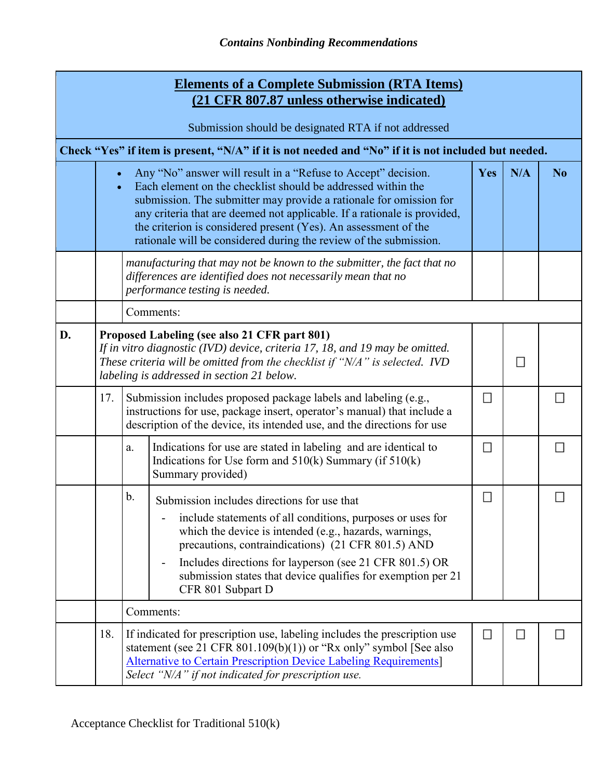|                                                                                                      | <b>Elements of a Complete Submission (RTA Items)</b><br>(21 CFR 807.87 unless otherwise indicated)                                                                                                                                                                                                                                                                                                                                                             |                                                                                                                                                                                                                                                                |                                                                                                                                                                                                                                                                                                                                                                                                       |        |   |   |  |  |  |
|------------------------------------------------------------------------------------------------------|----------------------------------------------------------------------------------------------------------------------------------------------------------------------------------------------------------------------------------------------------------------------------------------------------------------------------------------------------------------------------------------------------------------------------------------------------------------|----------------------------------------------------------------------------------------------------------------------------------------------------------------------------------------------------------------------------------------------------------------|-------------------------------------------------------------------------------------------------------------------------------------------------------------------------------------------------------------------------------------------------------------------------------------------------------------------------------------------------------------------------------------------------------|--------|---|---|--|--|--|
|                                                                                                      | Submission should be designated RTA if not addressed                                                                                                                                                                                                                                                                                                                                                                                                           |                                                                                                                                                                                                                                                                |                                                                                                                                                                                                                                                                                                                                                                                                       |        |   |   |  |  |  |
| Check "Yes" if item is present, "N/A" if it is not needed and "No" if it is not included but needed. |                                                                                                                                                                                                                                                                                                                                                                                                                                                                |                                                                                                                                                                                                                                                                |                                                                                                                                                                                                                                                                                                                                                                                                       |        |   |   |  |  |  |
|                                                                                                      | Any "No" answer will result in a "Refuse to Accept" decision.<br>N/A<br><b>Yes</b><br>N <sub>0</sub><br>Each element on the checklist should be addressed within the<br>submission. The submitter may provide a rationale for omission for<br>any criteria that are deemed not applicable. If a rationale is provided,<br>the criterion is considered present (Yes). An assessment of the<br>rationale will be considered during the review of the submission. |                                                                                                                                                                                                                                                                |                                                                                                                                                                                                                                                                                                                                                                                                       |        |   |   |  |  |  |
|                                                                                                      |                                                                                                                                                                                                                                                                                                                                                                                                                                                                |                                                                                                                                                                                                                                                                | manufacturing that may not be known to the submitter, the fact that no<br>differences are identified does not necessarily mean that no<br>performance testing is needed.                                                                                                                                                                                                                              |        |   |   |  |  |  |
|                                                                                                      |                                                                                                                                                                                                                                                                                                                                                                                                                                                                |                                                                                                                                                                                                                                                                | Comments:                                                                                                                                                                                                                                                                                                                                                                                             |        |   |   |  |  |  |
| D.                                                                                                   |                                                                                                                                                                                                                                                                                                                                                                                                                                                                | Proposed Labeling (see also 21 CFR part 801)<br>If in vitro diagnostic (IVD) device, criteria 17, 18, and 19 may be omitted.<br>These criteria will be omitted from the checklist if "N/A" is selected. IVD<br>π<br>labeling is addressed in section 21 below. |                                                                                                                                                                                                                                                                                                                                                                                                       |        |   |   |  |  |  |
|                                                                                                      | 17.                                                                                                                                                                                                                                                                                                                                                                                                                                                            |                                                                                                                                                                                                                                                                | Submission includes proposed package labels and labeling (e.g.,<br>instructions for use, package insert, operator's manual) that include a<br>description of the device, its intended use, and the directions for use                                                                                                                                                                                 | П      |   |   |  |  |  |
|                                                                                                      |                                                                                                                                                                                                                                                                                                                                                                                                                                                                | a.                                                                                                                                                                                                                                                             | Indications for use are stated in labeling and are identical to<br>Indications for Use form and $510(k)$ Summary (if $510(k)$ )<br>Summary provided)                                                                                                                                                                                                                                                  | П      |   | П |  |  |  |
|                                                                                                      |                                                                                                                                                                                                                                                                                                                                                                                                                                                                | b.                                                                                                                                                                                                                                                             | Submission includes directions for use that<br>include statements of all conditions, purposes or uses for<br>which the device is intended (e.g., hazards, warnings,<br>precautions, contraindications) (21 CFR 801.5) AND<br>Includes directions for layperson (see 21 CFR 801.5) OR<br>$\overline{\phantom{0}}$<br>submission states that device qualifies for exemption per 21<br>CFR 801 Subpart D | R      |   |   |  |  |  |
|                                                                                                      |                                                                                                                                                                                                                                                                                                                                                                                                                                                                |                                                                                                                                                                                                                                                                | Comments:                                                                                                                                                                                                                                                                                                                                                                                             |        |   |   |  |  |  |
|                                                                                                      | 18.                                                                                                                                                                                                                                                                                                                                                                                                                                                            |                                                                                                                                                                                                                                                                | If indicated for prescription use, labeling includes the prescription use<br>statement (see 21 CFR $801.109(b)(1)$ ) or "Rx only" symbol [See also<br><b>Alternative to Certain Prescription Device Labeling Requirements</b><br>Select "N/A" if not indicated for prescription use.                                                                                                                  | $\Box$ | □ | н |  |  |  |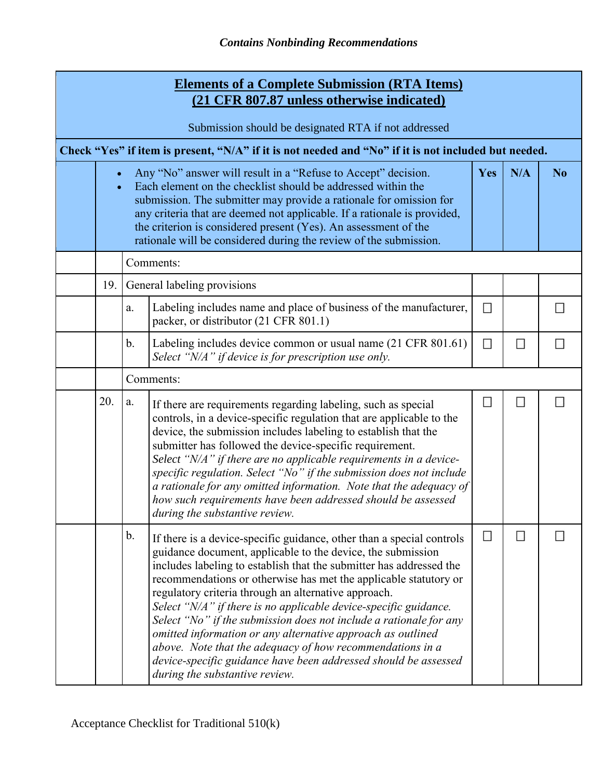|                                                                                                      | <b>Elements of a Complete Submission (RTA Items)</b><br>(21 CFR 807.87 unless otherwise indicated) |               |                                                                                                                                                                                                                                                                                                                                                                                                                                                                                                                                                                                                                                                                                                                    |               |        |                |  |  |  |
|------------------------------------------------------------------------------------------------------|----------------------------------------------------------------------------------------------------|---------------|--------------------------------------------------------------------------------------------------------------------------------------------------------------------------------------------------------------------------------------------------------------------------------------------------------------------------------------------------------------------------------------------------------------------------------------------------------------------------------------------------------------------------------------------------------------------------------------------------------------------------------------------------------------------------------------------------------------------|---------------|--------|----------------|--|--|--|
|                                                                                                      | Submission should be designated RTA if not addressed                                               |               |                                                                                                                                                                                                                                                                                                                                                                                                                                                                                                                                                                                                                                                                                                                    |               |        |                |  |  |  |
| Check "Yes" if item is present, "N/A" if it is not needed and "No" if it is not included but needed. |                                                                                                    |               |                                                                                                                                                                                                                                                                                                                                                                                                                                                                                                                                                                                                                                                                                                                    |               |        |                |  |  |  |
|                                                                                                      | $\bullet$                                                                                          |               | Any "No" answer will result in a "Refuse to Accept" decision.<br>Each element on the checklist should be addressed within the<br>submission. The submitter may provide a rationale for omission for<br>any criteria that are deemed not applicable. If a rationale is provided,<br>the criterion is considered present (Yes). An assessment of the<br>rationale will be considered during the review of the submission.                                                                                                                                                                                                                                                                                            | Yes           | N/A    | N <sub>o</sub> |  |  |  |
|                                                                                                      |                                                                                                    |               | Comments:                                                                                                                                                                                                                                                                                                                                                                                                                                                                                                                                                                                                                                                                                                          |               |        |                |  |  |  |
|                                                                                                      | 19.                                                                                                |               | General labeling provisions                                                                                                                                                                                                                                                                                                                                                                                                                                                                                                                                                                                                                                                                                        |               |        |                |  |  |  |
|                                                                                                      |                                                                                                    | a.            | Labeling includes name and place of business of the manufacturer,<br>packer, or distributor (21 CFR 801.1)                                                                                                                                                                                                                                                                                                                                                                                                                                                                                                                                                                                                         | $\mathcal{N}$ |        | П              |  |  |  |
|                                                                                                      |                                                                                                    | $\mathbf b$ . | Labeling includes device common or usual name (21 CFR 801.61)<br>Select "N/A" if device is for prescription use only.                                                                                                                                                                                                                                                                                                                                                                                                                                                                                                                                                                                              | П             | $\Box$ | П              |  |  |  |
|                                                                                                      |                                                                                                    | Comments:     |                                                                                                                                                                                                                                                                                                                                                                                                                                                                                                                                                                                                                                                                                                                    |               |        |                |  |  |  |
|                                                                                                      | 20.                                                                                                | a.            | If there are requirements regarding labeling, such as special<br>controls, in a device-specific regulation that are applicable to the<br>device, the submission includes labeling to establish that the<br>submitter has followed the device-specific requirement.<br>Select "N/A" if there are no applicable requirements in a device-<br>specific regulation. Select "No" if the submission does not include<br>a rationale for any omitted information. Note that the adequacy of<br>how such requirements have been addressed should be assessed<br>during the substantive review.                                                                                                                             | H             | $\Box$ | N              |  |  |  |
|                                                                                                      |                                                                                                    | $\mathbf b$ . | If there is a device-specific guidance, other than a special controls<br>guidance document, applicable to the device, the submission<br>includes labeling to establish that the submitter has addressed the<br>recommendations or otherwise has met the applicable statutory or<br>regulatory criteria through an alternative approach.<br>Select "N/A" if there is no applicable device-specific guidance.<br>Select "No" if the submission does not include a rationale for any<br>omitted information or any alternative approach as outlined<br>above. Note that the adequacy of how recommendations in a<br>device-specific guidance have been addressed should be assessed<br>during the substantive review. | П             | □      |                |  |  |  |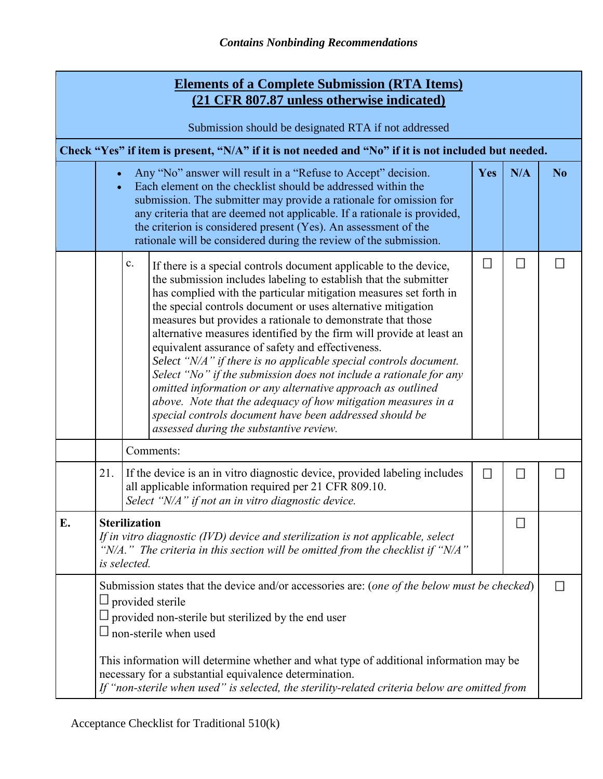| <b>Elements of a Complete Submission (RTA Items)</b><br>(21 CFR 807.87 unless otherwise indicated) |                                                                                                                                                                                                                                                                                                          |                                                                                                                                                                                                                                                                                                                                                                                                                                                                                                                                                                                                                                                                                                                                                                                                                                                                          |        |        |                |  |  |  |
|----------------------------------------------------------------------------------------------------|----------------------------------------------------------------------------------------------------------------------------------------------------------------------------------------------------------------------------------------------------------------------------------------------------------|--------------------------------------------------------------------------------------------------------------------------------------------------------------------------------------------------------------------------------------------------------------------------------------------------------------------------------------------------------------------------------------------------------------------------------------------------------------------------------------------------------------------------------------------------------------------------------------------------------------------------------------------------------------------------------------------------------------------------------------------------------------------------------------------------------------------------------------------------------------------------|--------|--------|----------------|--|--|--|
| Submission should be designated RTA if not addressed                                               |                                                                                                                                                                                                                                                                                                          |                                                                                                                                                                                                                                                                                                                                                                                                                                                                                                                                                                                                                                                                                                                                                                                                                                                                          |        |        |                |  |  |  |
|                                                                                                    |                                                                                                                                                                                                                                                                                                          | Check "Yes" if item is present, "N/A" if it is not needed and "No" if it is not included but needed.                                                                                                                                                                                                                                                                                                                                                                                                                                                                                                                                                                                                                                                                                                                                                                     |        |        |                |  |  |  |
|                                                                                                    |                                                                                                                                                                                                                                                                                                          | Any "No" answer will result in a "Refuse to Accept" decision.<br>Each element on the checklist should be addressed within the<br>submission. The submitter may provide a rationale for omission for<br>any criteria that are deemed not applicable. If a rationale is provided,<br>the criterion is considered present (Yes). An assessment of the<br>rationale will be considered during the review of the submission.                                                                                                                                                                                                                                                                                                                                                                                                                                                  | Yes    | N/A    | N <sub>0</sub> |  |  |  |
|                                                                                                    |                                                                                                                                                                                                                                                                                                          | $\mathbf{c}.$<br>If there is a special controls document applicable to the device,<br>the submission includes labeling to establish that the submitter<br>has complied with the particular mitigation measures set forth in<br>the special controls document or uses alternative mitigation<br>measures but provides a rationale to demonstrate that those<br>alternative measures identified by the firm will provide at least an<br>equivalent assurance of safety and effectiveness.<br>Select "N/A" if there is no applicable special controls document.<br>Select "No" if the submission does not include a rationale for any<br>omitted information or any alternative approach as outlined<br>above. Note that the adequacy of how mitigation measures in a<br>special controls document have been addressed should be<br>assessed during the substantive review. | $\Box$ | $\Box$ |                |  |  |  |
|                                                                                                    |                                                                                                                                                                                                                                                                                                          | Comments:                                                                                                                                                                                                                                                                                                                                                                                                                                                                                                                                                                                                                                                                                                                                                                                                                                                                |        |        |                |  |  |  |
|                                                                                                    | 21.                                                                                                                                                                                                                                                                                                      | If the device is an in vitro diagnostic device, provided labeling includes<br>all applicable information required per 21 CFR 809.10.<br>Select "N/A" if not an in vitro diagnostic device.                                                                                                                                                                                                                                                                                                                                                                                                                                                                                                                                                                                                                                                                               | B      | П      |                |  |  |  |
| E.                                                                                                 | <b>Sterilization</b><br>П<br>If in vitro diagnostic (IVD) device and sterilization is not applicable, select<br>"N/A." The criteria in this section will be omitted from the checklist if "N/A"<br>is selected.                                                                                          |                                                                                                                                                                                                                                                                                                                                                                                                                                                                                                                                                                                                                                                                                                                                                                                                                                                                          |        |        |                |  |  |  |
|                                                                                                    | Submission states that the device and/or accessories are: (one of the below must be checked)<br>$\Box$ provided sterile<br>$\Box$ provided non-sterile but sterilized by the end user<br>non-sterile when used<br>This information will determine whether and what type of additional information may be |                                                                                                                                                                                                                                                                                                                                                                                                                                                                                                                                                                                                                                                                                                                                                                                                                                                                          |        |        |                |  |  |  |
|                                                                                                    |                                                                                                                                                                                                                                                                                                          | necessary for a substantial equivalence determination.<br>If "non-sterile when used" is selected, the sterility-related criteria below are omitted from                                                                                                                                                                                                                                                                                                                                                                                                                                                                                                                                                                                                                                                                                                                  |        |        |                |  |  |  |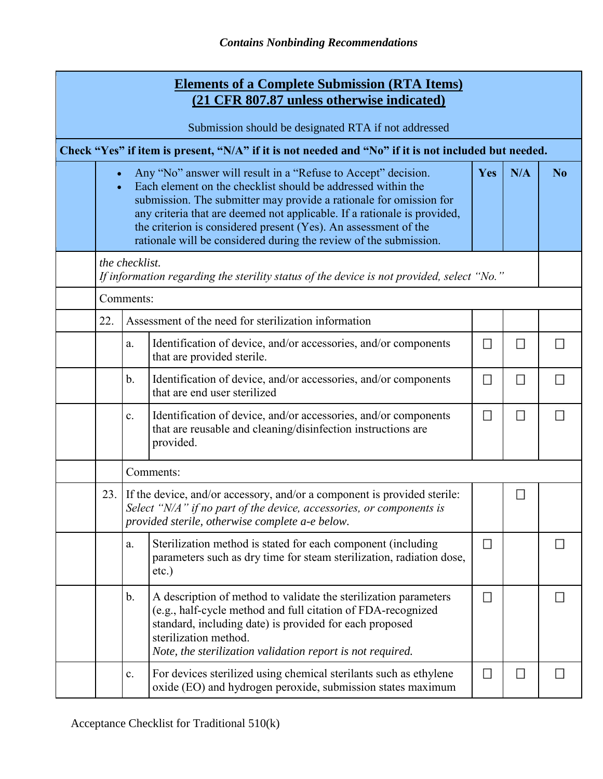|                                                      |                                                                                                             |               | <b>Elements of a Complete Submission (RTA Items)</b><br>(21 CFR 807.87 unless otherwise indicated)                                                                                                                                                                                                                                                                                                                      |                             |        |        |  |  |  |
|------------------------------------------------------|-------------------------------------------------------------------------------------------------------------|---------------|-------------------------------------------------------------------------------------------------------------------------------------------------------------------------------------------------------------------------------------------------------------------------------------------------------------------------------------------------------------------------------------------------------------------------|-----------------------------|--------|--------|--|--|--|
| Submission should be designated RTA if not addressed |                                                                                                             |               |                                                                                                                                                                                                                                                                                                                                                                                                                         |                             |        |        |  |  |  |
|                                                      | Check "Yes" if item is present, "N/A" if it is not needed and "No" if it is not included but needed.        |               |                                                                                                                                                                                                                                                                                                                                                                                                                         |                             |        |        |  |  |  |
|                                                      | $\bullet$<br>$\bullet$                                                                                      |               | Any "No" answer will result in a "Refuse to Accept" decision.<br>Each element on the checklist should be addressed within the<br>submission. The submitter may provide a rationale for omission for<br>any criteria that are deemed not applicable. If a rationale is provided,<br>the criterion is considered present (Yes). An assessment of the<br>rationale will be considered during the review of the submission. | Yes                         | N/A    | No.    |  |  |  |
|                                                      | the checklist.<br>If information regarding the sterility status of the device is not provided, select "No." |               |                                                                                                                                                                                                                                                                                                                                                                                                                         |                             |        |        |  |  |  |
|                                                      |                                                                                                             | Comments:     |                                                                                                                                                                                                                                                                                                                                                                                                                         |                             |        |        |  |  |  |
|                                                      | 22.                                                                                                         |               | Assessment of the need for sterilization information                                                                                                                                                                                                                                                                                                                                                                    |                             |        |        |  |  |  |
|                                                      |                                                                                                             | a.            | Identification of device, and/or accessories, and/or components<br>that are provided sterile.                                                                                                                                                                                                                                                                                                                           | П                           | $\Box$ | П      |  |  |  |
|                                                      |                                                                                                             | $\mathbf b$ . | Identification of device, and/or accessories, and/or components<br>that are end user sterilized                                                                                                                                                                                                                                                                                                                         | ◘                           | $\Box$ | $\Box$ |  |  |  |
|                                                      |                                                                                                             | c.            | Identification of device, and/or accessories, and/or components<br>that are reusable and cleaning/disinfection instructions are<br>provided.                                                                                                                                                                                                                                                                            | $\mathcal{L}_{\mathcal{A}}$ | $\Box$ | П      |  |  |  |
|                                                      |                                                                                                             |               | Comments:                                                                                                                                                                                                                                                                                                                                                                                                               |                             |        |        |  |  |  |
|                                                      | 23.                                                                                                         |               | If the device, and/or accessory, and/or a component is provided sterile:<br>Select "N/A" if no part of the device, accessories, or components is<br>provided sterile, otherwise complete a-e below.                                                                                                                                                                                                                     |                             | □      |        |  |  |  |
|                                                      |                                                                                                             | a.            | Sterilization method is stated for each component (including<br>parameters such as dry time for steam sterilization, radiation dose,<br>$etc.$ )                                                                                                                                                                                                                                                                        | □                           |        | Ы      |  |  |  |
|                                                      |                                                                                                             | b.            | A description of method to validate the sterilization parameters<br>(e.g., half-cycle method and full citation of FDA-recognized<br>standard, including date) is provided for each proposed<br>sterilization method.<br>Note, the sterilization validation report is not required.                                                                                                                                      | π                           |        | Н      |  |  |  |
|                                                      |                                                                                                             | c.            | For devices sterilized using chemical sterilants such as ethylene<br>oxide (EO) and hydrogen peroxide, submission states maximum                                                                                                                                                                                                                                                                                        | ×                           | $\Box$ | Н      |  |  |  |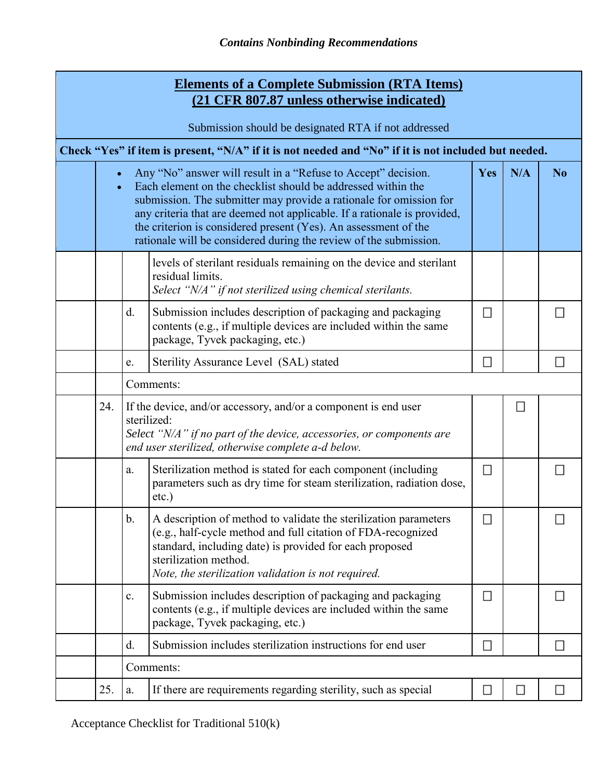|                                                      | <b>Elements of a Complete Submission (RTA Items)</b><br>(21 CFR 807.87 unless otherwise indicated)   |                                                                                                                                                                                                                                                                                                                                                                                                                         |                                                                                                                                                                                                                                                                             |                             |                |   |  |  |
|------------------------------------------------------|------------------------------------------------------------------------------------------------------|-------------------------------------------------------------------------------------------------------------------------------------------------------------------------------------------------------------------------------------------------------------------------------------------------------------------------------------------------------------------------------------------------------------------------|-----------------------------------------------------------------------------------------------------------------------------------------------------------------------------------------------------------------------------------------------------------------------------|-----------------------------|----------------|---|--|--|
| Submission should be designated RTA if not addressed |                                                                                                      |                                                                                                                                                                                                                                                                                                                                                                                                                         |                                                                                                                                                                                                                                                                             |                             |                |   |  |  |
|                                                      | Check "Yes" if item is present, "N/A" if it is not needed and "No" if it is not included but needed. |                                                                                                                                                                                                                                                                                                                                                                                                                         |                                                                                                                                                                                                                                                                             |                             |                |   |  |  |
|                                                      |                                                                                                      | Any "No" answer will result in a "Refuse to Accept" decision.<br>Each element on the checklist should be addressed within the<br>submission. The submitter may provide a rationale for omission for<br>any criteria that are deemed not applicable. If a rationale is provided,<br>the criterion is considered present (Yes). An assessment of the<br>rationale will be considered during the review of the submission. | <b>Yes</b>                                                                                                                                                                                                                                                                  | N/A                         | N <sub>o</sub> |   |  |  |
|                                                      |                                                                                                      |                                                                                                                                                                                                                                                                                                                                                                                                                         | levels of sterilant residuals remaining on the device and sterilant<br>residual limits.<br>Select "N/A" if not sterilized using chemical sterilants.                                                                                                                        |                             |                |   |  |  |
|                                                      |                                                                                                      | d.                                                                                                                                                                                                                                                                                                                                                                                                                      | Submission includes description of packaging and packaging<br>contents (e.g., if multiple devices are included within the same<br>package, Tyvek packaging, etc.)                                                                                                           | П                           |                |   |  |  |
|                                                      |                                                                                                      | e.                                                                                                                                                                                                                                                                                                                                                                                                                      | Sterility Assurance Level (SAL) stated                                                                                                                                                                                                                                      | П                           |                |   |  |  |
|                                                      |                                                                                                      | Comments:                                                                                                                                                                                                                                                                                                                                                                                                               |                                                                                                                                                                                                                                                                             |                             |                |   |  |  |
|                                                      | 24.                                                                                                  |                                                                                                                                                                                                                                                                                                                                                                                                                         | If the device, and/or accessory, and/or a component is end user<br>sterilized:<br>Select "N/A" if no part of the device, accessories, or components are<br>end user sterilized, otherwise complete a-d below.                                                               |                             | П              |   |  |  |
|                                                      |                                                                                                      | a.                                                                                                                                                                                                                                                                                                                                                                                                                      | Sterilization method is stated for each component (including<br>parameters such as dry time for steam sterilization, radiation dose,<br>$etc.$ )                                                                                                                            | $\mathcal{L}_{\mathcal{A}}$ |                |   |  |  |
|                                                      |                                                                                                      | $\mathbf b$ .                                                                                                                                                                                                                                                                                                                                                                                                           | A description of method to validate the sterilization parameters<br>(e.g., half-cycle method and full citation of FDA-recognized<br>standard, including date) is provided for each proposed<br>sterilization method.<br>Note, the sterilization validation is not required. |                             |                |   |  |  |
|                                                      |                                                                                                      | $\mathbf{c}$ .                                                                                                                                                                                                                                                                                                                                                                                                          | Submission includes description of packaging and packaging<br>contents (e.g., if multiple devices are included within the same<br>package, Tyvek packaging, etc.)                                                                                                           | $\Box$                      |                |   |  |  |
|                                                      |                                                                                                      | d.                                                                                                                                                                                                                                                                                                                                                                                                                      | Submission includes sterilization instructions for end user                                                                                                                                                                                                                 | $\Box$                      |                | н |  |  |
|                                                      |                                                                                                      |                                                                                                                                                                                                                                                                                                                                                                                                                         | Comments:                                                                                                                                                                                                                                                                   |                             |                |   |  |  |
|                                                      | 25.                                                                                                  | a.                                                                                                                                                                                                                                                                                                                                                                                                                      | If there are requirements regarding sterility, such as special                                                                                                                                                                                                              | B                           | □              | E |  |  |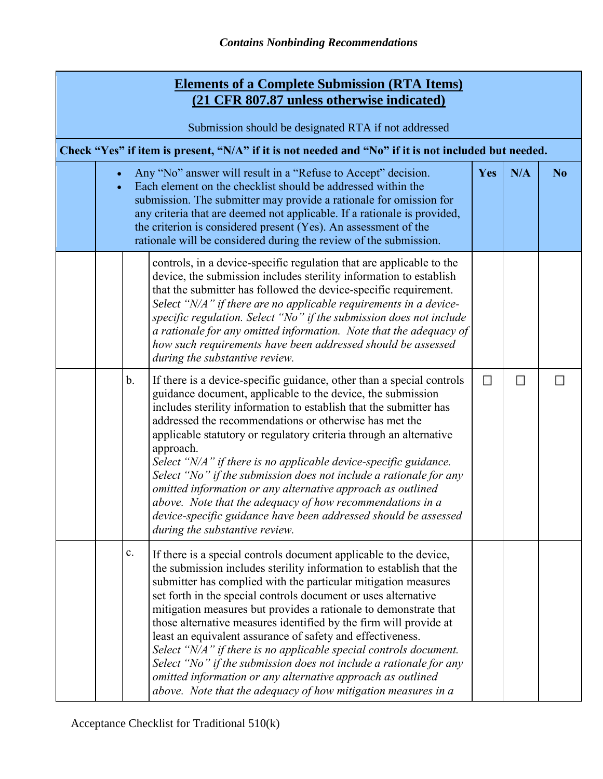|                                                                                                      | <b>Elements of a Complete Submission (RTA Items)</b><br>(21 CFR 807.87 unless otherwise indicated) |                |                                                                                                                                                                                                                                                                                                                                                                                                                                                                                                                                                                                                                                                                                                                                                                |                             |     |    |  |  |
|------------------------------------------------------------------------------------------------------|----------------------------------------------------------------------------------------------------|----------------|----------------------------------------------------------------------------------------------------------------------------------------------------------------------------------------------------------------------------------------------------------------------------------------------------------------------------------------------------------------------------------------------------------------------------------------------------------------------------------------------------------------------------------------------------------------------------------------------------------------------------------------------------------------------------------------------------------------------------------------------------------------|-----------------------------|-----|----|--|--|
|                                                                                                      | Submission should be designated RTA if not addressed                                               |                |                                                                                                                                                                                                                                                                                                                                                                                                                                                                                                                                                                                                                                                                                                                                                                |                             |     |    |  |  |
| Check "Yes" if item is present, "N/A" if it is not needed and "No" if it is not included but needed. |                                                                                                    |                |                                                                                                                                                                                                                                                                                                                                                                                                                                                                                                                                                                                                                                                                                                                                                                |                             |     |    |  |  |
|                                                                                                      | $\bullet$                                                                                          |                | Any "No" answer will result in a "Refuse to Accept" decision.<br>Each element on the checklist should be addressed within the<br>submission. The submitter may provide a rationale for omission for<br>any criteria that are deemed not applicable. If a rationale is provided,<br>the criterion is considered present (Yes). An assessment of the<br>rationale will be considered during the review of the submission.                                                                                                                                                                                                                                                                                                                                        | Yes                         | N/A | No |  |  |
|                                                                                                      |                                                                                                    |                | controls, in a device-specific regulation that are applicable to the<br>device, the submission includes sterility information to establish<br>that the submitter has followed the device-specific requirement.<br>Select "N/A" if there are no applicable requirements in a device-<br>specific regulation. Select "No" if the submission does not include<br>a rationale for any omitted information. Note that the adequacy of<br>how such requirements have been addressed should be assessed<br>during the substantive review.                                                                                                                                                                                                                             |                             |     |    |  |  |
|                                                                                                      |                                                                                                    | $\mathbf{b}$ . | If there is a device-specific guidance, other than a special controls<br>guidance document, applicable to the device, the submission<br>includes sterility information to establish that the submitter has<br>addressed the recommendations or otherwise has met the<br>applicable statutory or regulatory criteria through an alternative<br>approach.<br>Select "N/A" if there is no applicable device-specific guidance.<br>Select "No" if the submission does not include a rationale for any<br>omitted information or any alternative approach as outlined<br>above. Note that the adequacy of how recommendations in a<br>device-specific guidance have been addressed should be assessed<br>during the substantive review.                             | $\mathcal{L}_{\mathcal{A}}$ | П   |    |  |  |
|                                                                                                      |                                                                                                    | $\mathbf{c}$ . | If there is a special controls document applicable to the device,<br>the submission includes sterility information to establish that the<br>submitter has complied with the particular mitigation measures<br>set forth in the special controls document or uses alternative<br>mitigation measures but provides a rationale to demonstrate that<br>those alternative measures identified by the firm will provide at<br>least an equivalent assurance of safety and effectiveness.<br>Select "N/A" if there is no applicable special controls document.<br>Select "No" if the submission does not include a rationale for any<br>omitted information or any alternative approach as outlined<br>above. Note that the adequacy of how mitigation measures in a |                             |     |    |  |  |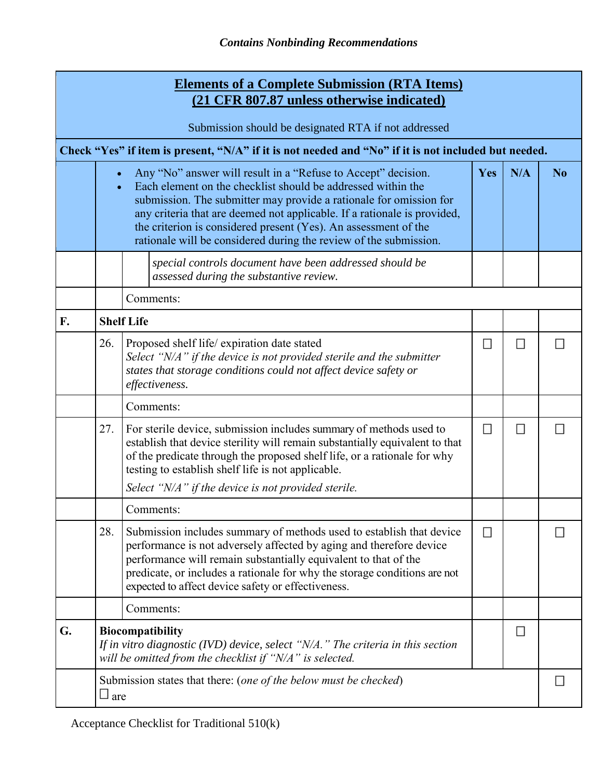| <b>Elements of a Complete Submission (RTA Items)</b><br>(21 CFR 807.87 unless otherwise indicated) |               |                                                                                                                                                                                                                                                                                                                                                                                                                         |          |        |                |  |  |  |
|----------------------------------------------------------------------------------------------------|---------------|-------------------------------------------------------------------------------------------------------------------------------------------------------------------------------------------------------------------------------------------------------------------------------------------------------------------------------------------------------------------------------------------------------------------------|----------|--------|----------------|--|--|--|
| Submission should be designated RTA if not addressed                                               |               |                                                                                                                                                                                                                                                                                                                                                                                                                         |          |        |                |  |  |  |
|                                                                                                    |               | Check "Yes" if item is present, "N/A" if it is not needed and "No" if it is not included but needed.                                                                                                                                                                                                                                                                                                                    |          |        |                |  |  |  |
|                                                                                                    | $\bullet$     | Any "No" answer will result in a "Refuse to Accept" decision.<br>Each element on the checklist should be addressed within the<br>submission. The submitter may provide a rationale for omission for<br>any criteria that are deemed not applicable. If a rationale is provided,<br>the criterion is considered present (Yes). An assessment of the<br>rationale will be considered during the review of the submission. | Yes      | N/A    | N <sub>o</sub> |  |  |  |
|                                                                                                    |               | special controls document have been addressed should be<br>assessed during the substantive review.                                                                                                                                                                                                                                                                                                                      |          |        |                |  |  |  |
|                                                                                                    |               | Comments:                                                                                                                                                                                                                                                                                                                                                                                                               |          |        |                |  |  |  |
| F.                                                                                                 |               | <b>Shelf Life</b>                                                                                                                                                                                                                                                                                                                                                                                                       |          |        |                |  |  |  |
|                                                                                                    | 26.           | Proposed shelf life/expiration date stated<br>Select "N/A" if the device is not provided sterile and the submitter<br>states that storage conditions could not affect device safety or<br>effectiveness.                                                                                                                                                                                                                | Н        | □      | н              |  |  |  |
|                                                                                                    |               | Comments:                                                                                                                                                                                                                                                                                                                                                                                                               |          |        |                |  |  |  |
|                                                                                                    | 27.           | For sterile device, submission includes summary of methods used to<br>establish that device sterility will remain substantially equivalent to that<br>of the predicate through the proposed shelf life, or a rationale for why<br>testing to establish shelf life is not applicable.<br>Select "N/A" if the device is not provided sterile.                                                                             | П        | $\Box$ |                |  |  |  |
|                                                                                                    |               | Comments:                                                                                                                                                                                                                                                                                                                                                                                                               |          |        |                |  |  |  |
|                                                                                                    | 28.           | Submission includes summary of methods used to establish that device<br>performance is not adversely affected by aging and therefore device<br>performance will remain substantially equivalent to that of the<br>predicate, or includes a rationale for why the storage conditions are not<br>expected to affect device safety or effectiveness.                                                                       | <b>I</b> |        | ы              |  |  |  |
|                                                                                                    |               | Comments:                                                                                                                                                                                                                                                                                                                                                                                                               |          |        |                |  |  |  |
| G.                                                                                                 |               | <b>Biocompatibility</b><br>If in vitro diagnostic (IVD) device, select " $N/A$ ." The criteria in this section<br>will be omitted from the checklist if "N/A" is selected.                                                                                                                                                                                                                                              |          | □      |                |  |  |  |
|                                                                                                    | $\square$ are | Submission states that there: (one of the below must be checked)                                                                                                                                                                                                                                                                                                                                                        |          |        | ы              |  |  |  |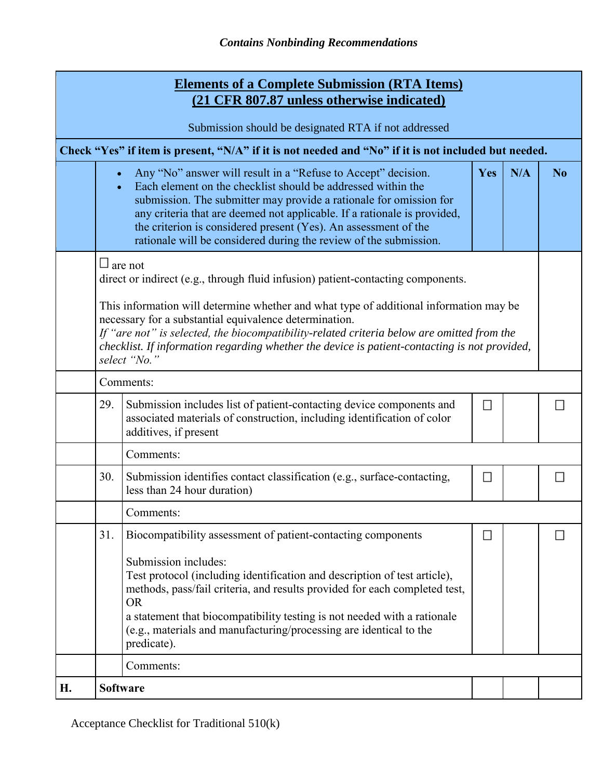|                                                                                                      |                                                                                                                                                                                                                                                                                                                                                                                                                                                                       | <b>Elements of a Complete Submission (RTA Items)</b><br>(21 CFR 807.87 unless otherwise indicated)                                                                                                                                                                                                                                                                                                                            |     |     |                |  |  |  |
|------------------------------------------------------------------------------------------------------|-----------------------------------------------------------------------------------------------------------------------------------------------------------------------------------------------------------------------------------------------------------------------------------------------------------------------------------------------------------------------------------------------------------------------------------------------------------------------|-------------------------------------------------------------------------------------------------------------------------------------------------------------------------------------------------------------------------------------------------------------------------------------------------------------------------------------------------------------------------------------------------------------------------------|-----|-----|----------------|--|--|--|
|                                                                                                      |                                                                                                                                                                                                                                                                                                                                                                                                                                                                       | Submission should be designated RTA if not addressed                                                                                                                                                                                                                                                                                                                                                                          |     |     |                |  |  |  |
| Check "Yes" if item is present, "N/A" if it is not needed and "No" if it is not included but needed. |                                                                                                                                                                                                                                                                                                                                                                                                                                                                       |                                                                                                                                                                                                                                                                                                                                                                                                                               |     |     |                |  |  |  |
|                                                                                                      | $\bullet$<br>$\bullet$                                                                                                                                                                                                                                                                                                                                                                                                                                                | Any "No" answer will result in a "Refuse to Accept" decision.<br>Each element on the checklist should be addressed within the<br>submission. The submitter may provide a rationale for omission for<br>any criteria that are deemed not applicable. If a rationale is provided,<br>the criterion is considered present (Yes). An assessment of the<br>rationale will be considered during the review of the submission.       | Yes | N/A | N <sub>o</sub> |  |  |  |
|                                                                                                      | $\Box$ are not<br>direct or indirect (e.g., through fluid infusion) patient-contacting components.<br>This information will determine whether and what type of additional information may be<br>necessary for a substantial equivalence determination.<br>If "are not" is selected, the biocompatibility-related criteria below are omitted from the<br>checklist. If information regarding whether the device is patient-contacting is not provided,<br>select "No." |                                                                                                                                                                                                                                                                                                                                                                                                                               |     |     |                |  |  |  |
|                                                                                                      | Comments:                                                                                                                                                                                                                                                                                                                                                                                                                                                             |                                                                                                                                                                                                                                                                                                                                                                                                                               |     |     |                |  |  |  |
|                                                                                                      | 29.                                                                                                                                                                                                                                                                                                                                                                                                                                                                   | Submission includes list of patient-contacting device components and<br>associated materials of construction, including identification of color<br>additives, if present                                                                                                                                                                                                                                                      |     |     |                |  |  |  |
|                                                                                                      |                                                                                                                                                                                                                                                                                                                                                                                                                                                                       | Comments:                                                                                                                                                                                                                                                                                                                                                                                                                     |     |     |                |  |  |  |
|                                                                                                      | 30.                                                                                                                                                                                                                                                                                                                                                                                                                                                                   | Submission identifies contact classification (e.g., surface-contacting,<br>less than 24 hour duration)                                                                                                                                                                                                                                                                                                                        | €   |     |                |  |  |  |
|                                                                                                      |                                                                                                                                                                                                                                                                                                                                                                                                                                                                       | Comments:                                                                                                                                                                                                                                                                                                                                                                                                                     |     |     |                |  |  |  |
|                                                                                                      | 31.                                                                                                                                                                                                                                                                                                                                                                                                                                                                   | Biocompatibility assessment of patient-contacting components<br>Submission includes:<br>Test protocol (including identification and description of test article),<br>methods, pass/fail criteria, and results provided for each completed test,<br><b>OR</b><br>a statement that biocompatibility testing is not needed with a rationale<br>(e.g., materials and manufacturing/processing are identical to the<br>predicate). | Ш   |     |                |  |  |  |
|                                                                                                      |                                                                                                                                                                                                                                                                                                                                                                                                                                                                       | Comments:                                                                                                                                                                                                                                                                                                                                                                                                                     |     |     |                |  |  |  |
| <b>H.</b>                                                                                            |                                                                                                                                                                                                                                                                                                                                                                                                                                                                       | <b>Software</b>                                                                                                                                                                                                                                                                                                                                                                                                               |     |     |                |  |  |  |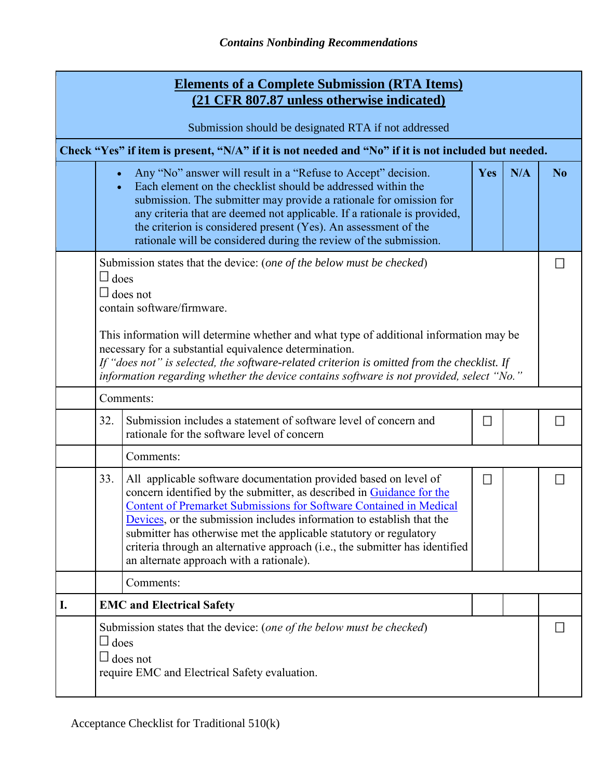| <b>Elements of a Complete Submission (RTA Items)</b><br><u>(21 CFR 807.87 unless otherwise indicated)</u> |                                                                                                                                                                                                                                                                                                                                             |                                                                                                                                                                                                                                                                                                                                                                                                                                                                                            |        |     |                |  |  |
|-----------------------------------------------------------------------------------------------------------|---------------------------------------------------------------------------------------------------------------------------------------------------------------------------------------------------------------------------------------------------------------------------------------------------------------------------------------------|--------------------------------------------------------------------------------------------------------------------------------------------------------------------------------------------------------------------------------------------------------------------------------------------------------------------------------------------------------------------------------------------------------------------------------------------------------------------------------------------|--------|-----|----------------|--|--|
|                                                                                                           |                                                                                                                                                                                                                                                                                                                                             | Submission should be designated RTA if not addressed                                                                                                                                                                                                                                                                                                                                                                                                                                       |        |     |                |  |  |
|                                                                                                           |                                                                                                                                                                                                                                                                                                                                             | Check "Yes" if item is present, "N/A" if it is not needed and "No" if it is not included but needed.                                                                                                                                                                                                                                                                                                                                                                                       |        |     |                |  |  |
|                                                                                                           | $\bullet$                                                                                                                                                                                                                                                                                                                                   | Any "No" answer will result in a "Refuse to Accept" decision.<br>Each element on the checklist should be addressed within the<br>submission. The submitter may provide a rationale for omission for<br>any criteria that are deemed not applicable. If a rationale is provided,<br>the criterion is considered present (Yes). An assessment of the<br>rationale will be considered during the review of the submission.                                                                    | Yes    | N/A | N <sub>0</sub> |  |  |
|                                                                                                           | Submission states that the device: (one of the below must be checked)<br>$\square$ does<br>$\Box$ does not<br>contain software/firmware.                                                                                                                                                                                                    |                                                                                                                                                                                                                                                                                                                                                                                                                                                                                            |        |     |                |  |  |
|                                                                                                           | This information will determine whether and what type of additional information may be<br>necessary for a substantial equivalence determination.<br>If "does not" is selected, the software-related criterion is omitted from the checklist. If<br>information regarding whether the device contains software is not provided, select "No." |                                                                                                                                                                                                                                                                                                                                                                                                                                                                                            |        |     |                |  |  |
|                                                                                                           |                                                                                                                                                                                                                                                                                                                                             | Comments:                                                                                                                                                                                                                                                                                                                                                                                                                                                                                  |        |     |                |  |  |
|                                                                                                           | 32.                                                                                                                                                                                                                                                                                                                                         | Submission includes a statement of software level of concern and<br>rationale for the software level of concern                                                                                                                                                                                                                                                                                                                                                                            | $\Box$ |     |                |  |  |
|                                                                                                           |                                                                                                                                                                                                                                                                                                                                             | Comments:                                                                                                                                                                                                                                                                                                                                                                                                                                                                                  |        |     |                |  |  |
|                                                                                                           | 33.                                                                                                                                                                                                                                                                                                                                         | All applicable software documentation provided based on level of<br>concern identified by the submitter, as described in Guidance for the<br>Content of Premarket Submissions for Software Contained in Medical<br>Devices, or the submission includes information to establish that the<br>submitter has otherwise met the applicable statutory or regulatory<br>criteria through an alternative approach (i.e., the submitter has identified<br>an alternate approach with a rationale). | $\Box$ |     |                |  |  |
|                                                                                                           |                                                                                                                                                                                                                                                                                                                                             | Comments:                                                                                                                                                                                                                                                                                                                                                                                                                                                                                  |        |     |                |  |  |
| I.                                                                                                        |                                                                                                                                                                                                                                                                                                                                             | <b>EMC and Electrical Safety</b>                                                                                                                                                                                                                                                                                                                                                                                                                                                           |        |     |                |  |  |
|                                                                                                           | $\Box$ does                                                                                                                                                                                                                                                                                                                                 | Submission states that the device: (one of the below must be checked)<br>$\Box$ does not<br>require EMC and Electrical Safety evaluation.                                                                                                                                                                                                                                                                                                                                                  |        |     |                |  |  |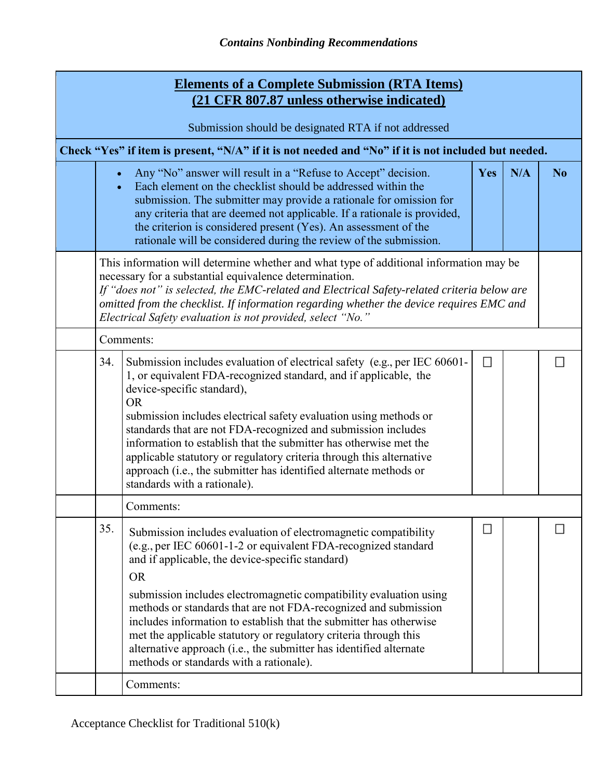| <b>Elements of a Complete Submission (RTA Items)</b><br>(21 CFR 807.87 unless otherwise indicated) |                                                                                                                                                                                                                                                                                                                                                                                                           |                                                                                                                                                                                                                                                                                                                                                                                                                                                                                                                                                                                                        |     |     |                |  |  |
|----------------------------------------------------------------------------------------------------|-----------------------------------------------------------------------------------------------------------------------------------------------------------------------------------------------------------------------------------------------------------------------------------------------------------------------------------------------------------------------------------------------------------|--------------------------------------------------------------------------------------------------------------------------------------------------------------------------------------------------------------------------------------------------------------------------------------------------------------------------------------------------------------------------------------------------------------------------------------------------------------------------------------------------------------------------------------------------------------------------------------------------------|-----|-----|----------------|--|--|
| Submission should be designated RTA if not addressed                                               |                                                                                                                                                                                                                                                                                                                                                                                                           |                                                                                                                                                                                                                                                                                                                                                                                                                                                                                                                                                                                                        |     |     |                |  |  |
|                                                                                                    |                                                                                                                                                                                                                                                                                                                                                                                                           | Check "Yes" if item is present, "N/A" if it is not needed and "No" if it is not included but needed.                                                                                                                                                                                                                                                                                                                                                                                                                                                                                                   |     |     |                |  |  |
|                                                                                                    | $\bullet$                                                                                                                                                                                                                                                                                                                                                                                                 | Any "No" answer will result in a "Refuse to Accept" decision.<br>Each element on the checklist should be addressed within the<br>submission. The submitter may provide a rationale for omission for<br>any criteria that are deemed not applicable. If a rationale is provided,<br>the criterion is considered present (Yes). An assessment of the<br>rationale will be considered during the review of the submission.                                                                                                                                                                                | Yes | N/A | N <sub>0</sub> |  |  |
|                                                                                                    | This information will determine whether and what type of additional information may be<br>necessary for a substantial equivalence determination.<br>If "does not" is selected, the EMC-related and Electrical Safety-related criteria below are<br>omitted from the checklist. If information regarding whether the device requires EMC and<br>Electrical Safety evaluation is not provided, select "No." |                                                                                                                                                                                                                                                                                                                                                                                                                                                                                                                                                                                                        |     |     |                |  |  |
|                                                                                                    | Comments:                                                                                                                                                                                                                                                                                                                                                                                                 |                                                                                                                                                                                                                                                                                                                                                                                                                                                                                                                                                                                                        |     |     |                |  |  |
|                                                                                                    | 34.                                                                                                                                                                                                                                                                                                                                                                                                       | Submission includes evaluation of electrical safety (e.g., per IEC 60601-<br>1, or equivalent FDA-recognized standard, and if applicable, the<br>device-specific standard),<br><b>OR</b><br>submission includes electrical safety evaluation using methods or<br>standards that are not FDA-recognized and submission includes<br>information to establish that the submitter has otherwise met the<br>applicable statutory or regulatory criteria through this alternative<br>approach (i.e., the submitter has identified alternate methods or<br>standards with a rationale).                       |     |     |                |  |  |
|                                                                                                    |                                                                                                                                                                                                                                                                                                                                                                                                           | Comments:                                                                                                                                                                                                                                                                                                                                                                                                                                                                                                                                                                                              |     |     |                |  |  |
|                                                                                                    | 35.                                                                                                                                                                                                                                                                                                                                                                                                       | Submission includes evaluation of electromagnetic compatibility<br>(e.g., per IEC 60601-1-2 or equivalent FDA-recognized standard<br>and if applicable, the device-specific standard)<br><b>OR</b><br>submission includes electromagnetic compatibility evaluation using<br>methods or standards that are not FDA-recognized and submission<br>includes information to establish that the submitter has otherwise<br>met the applicable statutory or regulatory criteria through this<br>alternative approach (i.e., the submitter has identified alternate<br>methods or standards with a rationale). | Ш   |     |                |  |  |
|                                                                                                    |                                                                                                                                                                                                                                                                                                                                                                                                           | Comments:                                                                                                                                                                                                                                                                                                                                                                                                                                                                                                                                                                                              |     |     |                |  |  |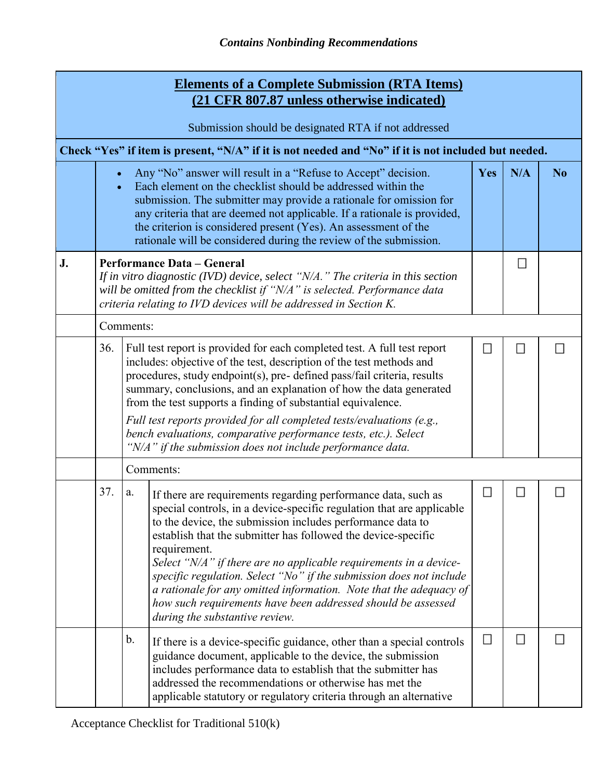|    | <b>Elements of a Complete Submission (RTA Items)</b><br>(21 CFR 807.87 unless otherwise indicated)                                                                                                                                                                                  |                    |                                                                                                                                                                                                                                                                                                                                                                                                                                                                                                                                                                                           |        |                             |                |  |  |  |  |
|----|-------------------------------------------------------------------------------------------------------------------------------------------------------------------------------------------------------------------------------------------------------------------------------------|--------------------|-------------------------------------------------------------------------------------------------------------------------------------------------------------------------------------------------------------------------------------------------------------------------------------------------------------------------------------------------------------------------------------------------------------------------------------------------------------------------------------------------------------------------------------------------------------------------------------------|--------|-----------------------------|----------------|--|--|--|--|
|    | Submission should be designated RTA if not addressed                                                                                                                                                                                                                                |                    |                                                                                                                                                                                                                                                                                                                                                                                                                                                                                                                                                                                           |        |                             |                |  |  |  |  |
|    |                                                                                                                                                                                                                                                                                     |                    | Check "Yes" if item is present, "N/A" if it is not needed and "No" if it is not included but needed.                                                                                                                                                                                                                                                                                                                                                                                                                                                                                      |        |                             |                |  |  |  |  |
|    | $\bullet$                                                                                                                                                                                                                                                                           |                    | Any "No" answer will result in a "Refuse to Accept" decision.<br>Each element on the checklist should be addressed within the<br>submission. The submitter may provide a rationale for omission for<br>any criteria that are deemed not applicable. If a rationale is provided,<br>the criterion is considered present (Yes). An assessment of the<br>rationale will be considered during the review of the submission.                                                                                                                                                                   | Yes    | N/A                         | N <sub>0</sub> |  |  |  |  |
| J. | <b>Performance Data - General</b><br>$\Box$<br>If in vitro diagnostic (IVD) device, select " $N/A$ ." The criteria in this section<br>will be omitted from the checklist if "N/A" is selected. Performance data<br>criteria relating to IVD devices will be addressed in Section K. |                    |                                                                                                                                                                                                                                                                                                                                                                                                                                                                                                                                                                                           |        |                             |                |  |  |  |  |
|    |                                                                                                                                                                                                                                                                                     | Comments:          |                                                                                                                                                                                                                                                                                                                                                                                                                                                                                                                                                                                           |        |                             |                |  |  |  |  |
|    | 36.                                                                                                                                                                                                                                                                                 |                    | Full test report is provided for each completed test. A full test report<br>includes: objective of the test, description of the test methods and<br>procedures, study endpoint(s), pre- defined pass/fail criteria, results<br>summary, conclusions, and an explanation of how the data generated<br>from the test supports a finding of substantial equivalence.<br>Full test reports provided for all completed tests/evaluations (e.g.,<br>bench evaluations, comparative performance tests, etc.). Select<br>" $N/A$ " if the submission does not include performance data.           | П      | $\mathcal{L}_{\mathcal{A}}$ | П              |  |  |  |  |
|    |                                                                                                                                                                                                                                                                                     | Comments:          |                                                                                                                                                                                                                                                                                                                                                                                                                                                                                                                                                                                           |        |                             |                |  |  |  |  |
|    | 37.                                                                                                                                                                                                                                                                                 | a.<br>requirement. | If there are requirements regarding performance data, such as<br>special controls, in a device-specific regulation that are applicable<br>to the device, the submission includes performance data to<br>establish that the submitter has followed the device-specific<br>Select "N/A" if there are no applicable requirements in a device-<br>specific regulation. Select "No" if the submission does not include<br>a rationale for any omitted information. Note that the adequacy of<br>how such requirements have been addressed should be assessed<br>during the substantive review. |        |                             |                |  |  |  |  |
|    |                                                                                                                                                                                                                                                                                     | b.                 | If there is a device-specific guidance, other than a special controls<br>guidance document, applicable to the device, the submission<br>includes performance data to establish that the submitter has<br>addressed the recommendations or otherwise has met the<br>applicable statutory or regulatory criteria through an alternative                                                                                                                                                                                                                                                     | $\Box$ | $\Box$                      | Н              |  |  |  |  |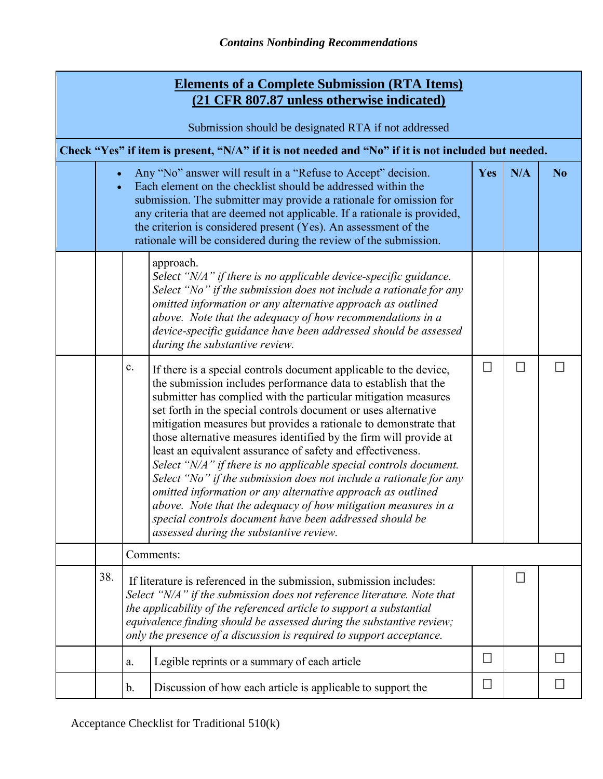|                                                                                                      | <b>Elements of a Complete Submission (RTA Items)</b><br>(21 CFR 807.87 unless otherwise indicated) |                                                                                                                                                                                                                                                                                                                                                                              |                                                                                                                                                                                                                                                                                                                                                                                                                                                                                                                                                                                                                                                                                                                                                                                                                                                                 |        |                             |                |  |  |
|------------------------------------------------------------------------------------------------------|----------------------------------------------------------------------------------------------------|------------------------------------------------------------------------------------------------------------------------------------------------------------------------------------------------------------------------------------------------------------------------------------------------------------------------------------------------------------------------------|-----------------------------------------------------------------------------------------------------------------------------------------------------------------------------------------------------------------------------------------------------------------------------------------------------------------------------------------------------------------------------------------------------------------------------------------------------------------------------------------------------------------------------------------------------------------------------------------------------------------------------------------------------------------------------------------------------------------------------------------------------------------------------------------------------------------------------------------------------------------|--------|-----------------------------|----------------|--|--|
| Submission should be designated RTA if not addressed                                                 |                                                                                                    |                                                                                                                                                                                                                                                                                                                                                                              |                                                                                                                                                                                                                                                                                                                                                                                                                                                                                                                                                                                                                                                                                                                                                                                                                                                                 |        |                             |                |  |  |
| Check "Yes" if item is present, "N/A" if it is not needed and "No" if it is not included but needed. |                                                                                                    |                                                                                                                                                                                                                                                                                                                                                                              |                                                                                                                                                                                                                                                                                                                                                                                                                                                                                                                                                                                                                                                                                                                                                                                                                                                                 |        |                             |                |  |  |
|                                                                                                      |                                                                                                    |                                                                                                                                                                                                                                                                                                                                                                              | Any "No" answer will result in a "Refuse to Accept" decision.<br>Each element on the checklist should be addressed within the<br>submission. The submitter may provide a rationale for omission for<br>any criteria that are deemed not applicable. If a rationale is provided,<br>the criterion is considered present (Yes). An assessment of the<br>rationale will be considered during the review of the submission.                                                                                                                                                                                                                                                                                                                                                                                                                                         | Yes    | N/A                         | N <sub>o</sub> |  |  |
|                                                                                                      |                                                                                                    |                                                                                                                                                                                                                                                                                                                                                                              | approach.<br>Select "N/A" if there is no applicable device-specific guidance.<br>Select "No" if the submission does not include a rationale for any<br>omitted information or any alternative approach as outlined<br>above. Note that the adequacy of how recommendations in a<br>device-specific guidance have been addressed should be assessed<br>during the substantive review.                                                                                                                                                                                                                                                                                                                                                                                                                                                                            |        |                             |                |  |  |
|                                                                                                      |                                                                                                    | $\mathbf{c}$ .                                                                                                                                                                                                                                                                                                                                                               | If there is a special controls document applicable to the device,<br>the submission includes performance data to establish that the<br>submitter has complied with the particular mitigation measures<br>set forth in the special controls document or uses alternative<br>mitigation measures but provides a rationale to demonstrate that<br>those alternative measures identified by the firm will provide at<br>least an equivalent assurance of safety and effectiveness.<br>Select "N/A" if there is no applicable special controls document.<br>Select "No" if the submission does not include a rationale for any<br>omitted information or any alternative approach as outlined<br>above. Note that the adequacy of how mitigation measures in a<br>special controls document have been addressed should be<br>assessed during the substantive review. | $\Box$ | $\mathcal{L}_{\mathcal{A}}$ |                |  |  |
|                                                                                                      |                                                                                                    |                                                                                                                                                                                                                                                                                                                                                                              | Comments:                                                                                                                                                                                                                                                                                                                                                                                                                                                                                                                                                                                                                                                                                                                                                                                                                                                       |        |                             |                |  |  |
|                                                                                                      | 38.                                                                                                | П<br>If literature is referenced in the submission, submission includes:<br>Select "N/A" if the submission does not reference literature. Note that<br>the applicability of the referenced article to support a substantial<br>equivalence finding should be assessed during the substantive review;<br>only the presence of a discussion is required to support acceptance. |                                                                                                                                                                                                                                                                                                                                                                                                                                                                                                                                                                                                                                                                                                                                                                                                                                                                 |        |                             |                |  |  |
|                                                                                                      |                                                                                                    | a.                                                                                                                                                                                                                                                                                                                                                                           | Legible reprints or a summary of each article                                                                                                                                                                                                                                                                                                                                                                                                                                                                                                                                                                                                                                                                                                                                                                                                                   | $\sim$ |                             |                |  |  |
|                                                                                                      |                                                                                                    | b.                                                                                                                                                                                                                                                                                                                                                                           | Discussion of how each article is applicable to support the                                                                                                                                                                                                                                                                                                                                                                                                                                                                                                                                                                                                                                                                                                                                                                                                     |        |                             |                |  |  |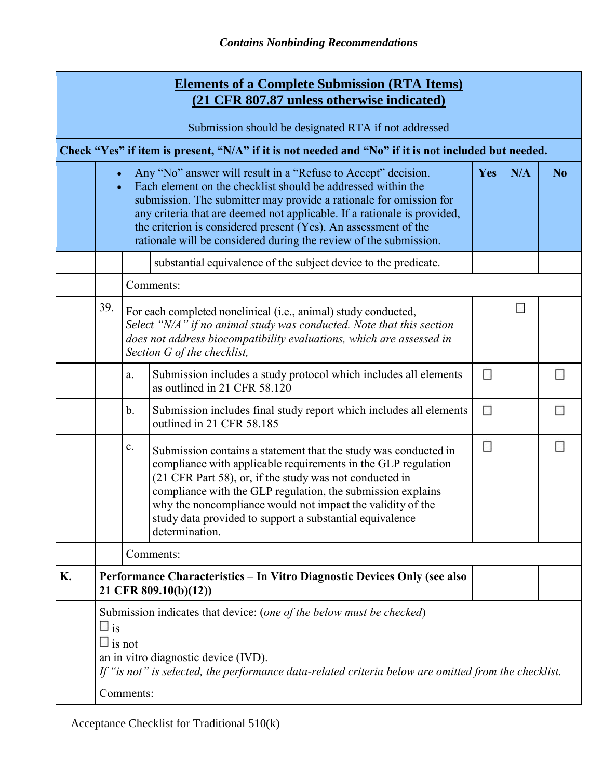| <b>Elements of a Complete Submission (RTA Items)</b><br>(21 CFR 807.87 unless otherwise indicated)   |                                                                                                                                                                                                                                                                                                                                                                                                                                             |                                                                                                                                                                                                                                                |                                                                                                                                                                                                                                                                                                                                                                                                        |                             |        |                |  |  |
|------------------------------------------------------------------------------------------------------|---------------------------------------------------------------------------------------------------------------------------------------------------------------------------------------------------------------------------------------------------------------------------------------------------------------------------------------------------------------------------------------------------------------------------------------------|------------------------------------------------------------------------------------------------------------------------------------------------------------------------------------------------------------------------------------------------|--------------------------------------------------------------------------------------------------------------------------------------------------------------------------------------------------------------------------------------------------------------------------------------------------------------------------------------------------------------------------------------------------------|-----------------------------|--------|----------------|--|--|
| Submission should be designated RTA if not addressed                                                 |                                                                                                                                                                                                                                                                                                                                                                                                                                             |                                                                                                                                                                                                                                                |                                                                                                                                                                                                                                                                                                                                                                                                        |                             |        |                |  |  |
| Check "Yes" if item is present, "N/A" if it is not needed and "No" if it is not included but needed. |                                                                                                                                                                                                                                                                                                                                                                                                                                             |                                                                                                                                                                                                                                                |                                                                                                                                                                                                                                                                                                                                                                                                        |                             |        |                |  |  |
|                                                                                                      | Any "No" answer will result in a "Refuse to Accept" decision.<br>Yes<br>Each element on the checklist should be addressed within the<br>$\bullet$<br>submission. The submitter may provide a rationale for omission for<br>any criteria that are deemed not applicable. If a rationale is provided,<br>the criterion is considered present (Yes). An assessment of the<br>rationale will be considered during the review of the submission. |                                                                                                                                                                                                                                                |                                                                                                                                                                                                                                                                                                                                                                                                        |                             |        | N <sub>0</sub> |  |  |
|                                                                                                      |                                                                                                                                                                                                                                                                                                                                                                                                                                             |                                                                                                                                                                                                                                                | substantial equivalence of the subject device to the predicate.                                                                                                                                                                                                                                                                                                                                        |                             |        |                |  |  |
|                                                                                                      |                                                                                                                                                                                                                                                                                                                                                                                                                                             |                                                                                                                                                                                                                                                | Comments:                                                                                                                                                                                                                                                                                                                                                                                              |                             |        |                |  |  |
|                                                                                                      | 39.                                                                                                                                                                                                                                                                                                                                                                                                                                         | For each completed nonclinical (i.e., animal) study conducted,<br>Select "N/A" if no animal study was conducted. Note that this section<br>does not address biocompatibility evaluations, which are assessed in<br>Section G of the checklist, |                                                                                                                                                                                                                                                                                                                                                                                                        |                             | $\Box$ |                |  |  |
|                                                                                                      |                                                                                                                                                                                                                                                                                                                                                                                                                                             | a.                                                                                                                                                                                                                                             | Submission includes a study protocol which includes all elements<br>as outlined in 21 CFR 58.120                                                                                                                                                                                                                                                                                                       | $\mathcal{L}_{\mathcal{A}}$ |        | ◘              |  |  |
|                                                                                                      |                                                                                                                                                                                                                                                                                                                                                                                                                                             | b.                                                                                                                                                                                                                                             | Submission includes final study report which includes all elements<br>outlined in 21 CFR 58.185                                                                                                                                                                                                                                                                                                        | $\mathcal{L}_{\mathcal{A}}$ |        | П              |  |  |
|                                                                                                      |                                                                                                                                                                                                                                                                                                                                                                                                                                             | $\mathbf{c}$ .                                                                                                                                                                                                                                 | Submission contains a statement that the study was conducted in<br>compliance with applicable requirements in the GLP regulation<br>(21 CFR Part 58), or, if the study was not conducted in<br>compliance with the GLP regulation, the submission explains<br>why the noncompliance would not impact the validity of the<br>study data provided to support a substantial equivalence<br>determination. | $\mathcal{L}_{\mathcal{A}}$ |        | П              |  |  |
|                                                                                                      |                                                                                                                                                                                                                                                                                                                                                                                                                                             | Comments:                                                                                                                                                                                                                                      |                                                                                                                                                                                                                                                                                                                                                                                                        |                             |        |                |  |  |
| K.                                                                                                   |                                                                                                                                                                                                                                                                                                                                                                                                                                             | Performance Characteristics – In Vitro Diagnostic Devices Only (see also<br>21 CFR 809.10(b)(12))                                                                                                                                              |                                                                                                                                                                                                                                                                                                                                                                                                        |                             |        |                |  |  |
|                                                                                                      | Submission indicates that device: (one of the below must be checked)<br>$\square$ is<br>$\square$ is not<br>an in vitro diagnostic device (IVD).<br>If "is not" is selected, the performance data-related criteria below are omitted from the checklist.<br>Comments:                                                                                                                                                                       |                                                                                                                                                                                                                                                |                                                                                                                                                                                                                                                                                                                                                                                                        |                             |        |                |  |  |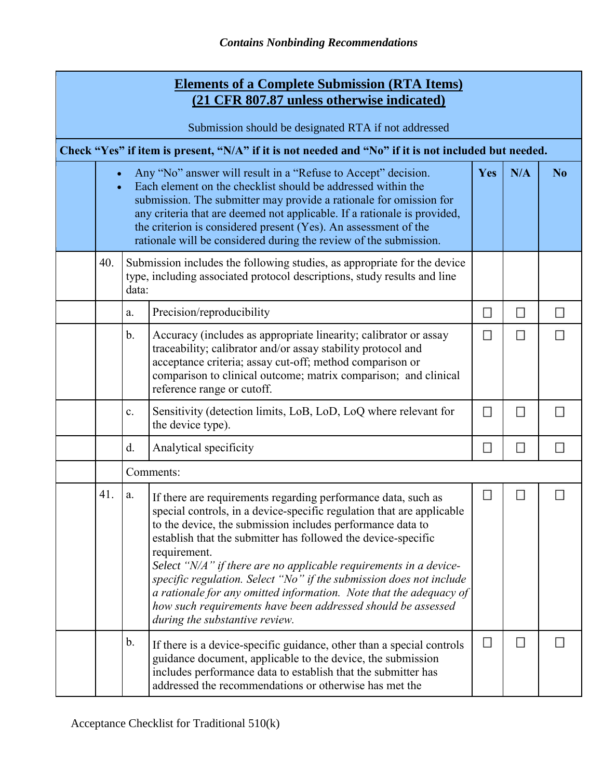| <b>Elements of a Complete Submission (RTA Items)</b><br>(21 CFR 807.87 unless otherwise indicated)   |                                                                                                                                                                                                                                                                                                                                                                                                                         |                                                                                                                                                               |                                                                                                                                                                                                                                                                                                                                                                                                                                                                                                                                                                                                           |        |                             |                |  |
|------------------------------------------------------------------------------------------------------|-------------------------------------------------------------------------------------------------------------------------------------------------------------------------------------------------------------------------------------------------------------------------------------------------------------------------------------------------------------------------------------------------------------------------|---------------------------------------------------------------------------------------------------------------------------------------------------------------|-----------------------------------------------------------------------------------------------------------------------------------------------------------------------------------------------------------------------------------------------------------------------------------------------------------------------------------------------------------------------------------------------------------------------------------------------------------------------------------------------------------------------------------------------------------------------------------------------------------|--------|-----------------------------|----------------|--|
| Submission should be designated RTA if not addressed                                                 |                                                                                                                                                                                                                                                                                                                                                                                                                         |                                                                                                                                                               |                                                                                                                                                                                                                                                                                                                                                                                                                                                                                                                                                                                                           |        |                             |                |  |
| Check "Yes" if item is present, "N/A" if it is not needed and "No" if it is not included but needed. |                                                                                                                                                                                                                                                                                                                                                                                                                         |                                                                                                                                                               |                                                                                                                                                                                                                                                                                                                                                                                                                                                                                                                                                                                                           |        |                             |                |  |
|                                                                                                      | Any "No" answer will result in a "Refuse to Accept" decision.<br>Each element on the checklist should be addressed within the<br>submission. The submitter may provide a rationale for omission for<br>any criteria that are deemed not applicable. If a rationale is provided,<br>the criterion is considered present (Yes). An assessment of the<br>rationale will be considered during the review of the submission. |                                                                                                                                                               |                                                                                                                                                                                                                                                                                                                                                                                                                                                                                                                                                                                                           |        | N/A                         | N <sub>o</sub> |  |
|                                                                                                      | 40.                                                                                                                                                                                                                                                                                                                                                                                                                     | Submission includes the following studies, as appropriate for the device<br>type, including associated protocol descriptions, study results and line<br>data: |                                                                                                                                                                                                                                                                                                                                                                                                                                                                                                                                                                                                           |        |                             |                |  |
|                                                                                                      |                                                                                                                                                                                                                                                                                                                                                                                                                         | a.                                                                                                                                                            | Precision/reproducibility                                                                                                                                                                                                                                                                                                                                                                                                                                                                                                                                                                                 | $\Box$ | $\mathcal{L}$               | $\Box$         |  |
|                                                                                                      |                                                                                                                                                                                                                                                                                                                                                                                                                         | $\mathbf b$ .                                                                                                                                                 | Accuracy (includes as appropriate linearity; calibrator or assay<br>traceability; calibrator and/or assay stability protocol and<br>acceptance criteria; assay cut-off; method comparison or<br>comparison to clinical outcome; matrix comparison; and clinical<br>reference range or cutoff.                                                                                                                                                                                                                                                                                                             | П      | П                           |                |  |
|                                                                                                      |                                                                                                                                                                                                                                                                                                                                                                                                                         | c.                                                                                                                                                            | Sensitivity (detection limits, LoB, LoD, LoQ where relevant for<br>the device type).                                                                                                                                                                                                                                                                                                                                                                                                                                                                                                                      | $\Box$ | $\Box$                      |                |  |
|                                                                                                      |                                                                                                                                                                                                                                                                                                                                                                                                                         | $\mathbf{d}$ .<br>Analytical specificity                                                                                                                      |                                                                                                                                                                                                                                                                                                                                                                                                                                                                                                                                                                                                           | ◘      | $\mathcal{L}_{\mathcal{A}}$ | П              |  |
|                                                                                                      |                                                                                                                                                                                                                                                                                                                                                                                                                         | Comments:                                                                                                                                                     |                                                                                                                                                                                                                                                                                                                                                                                                                                                                                                                                                                                                           |        |                             |                |  |
|                                                                                                      | 41.                                                                                                                                                                                                                                                                                                                                                                                                                     | a.                                                                                                                                                            | If there are requirements regarding performance data, such as<br>special controls, in a device-specific regulation that are applicable<br>to the device, the submission includes performance data to<br>establish that the submitter has followed the device-specific<br>requirement.<br>Select "N/A" if there are no applicable requirements in a device-<br>specific regulation. Select "No" if the submission does not include<br>a rationale for any omitted information. Note that the adequacy of<br>how such requirements have been addressed should be assessed<br>during the substantive review. | B      | н                           |                |  |
|                                                                                                      |                                                                                                                                                                                                                                                                                                                                                                                                                         | $\mathbf b$ .                                                                                                                                                 | If there is a device-specific guidance, other than a special controls<br>guidance document, applicable to the device, the submission<br>includes performance data to establish that the submitter has<br>addressed the recommendations or otherwise has met the                                                                                                                                                                                                                                                                                                                                           | $\Box$ | ◘                           |                |  |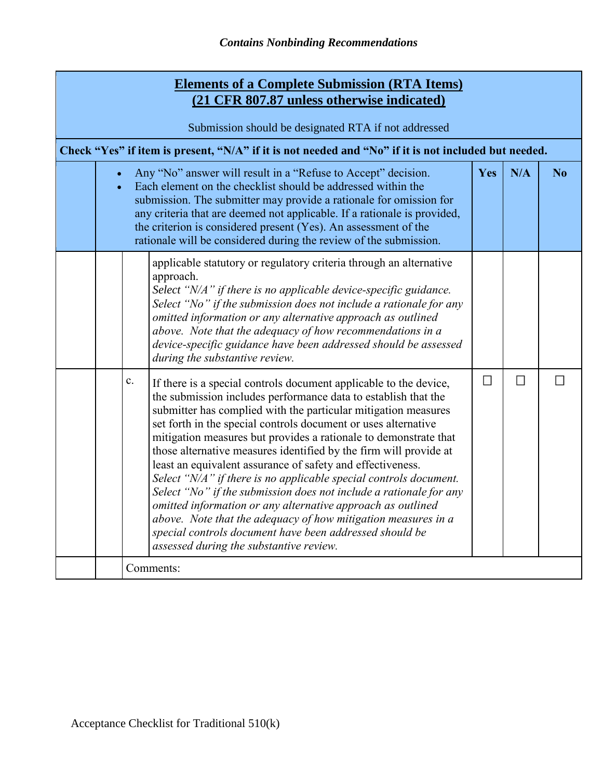| <b>Elements of a Complete Submission (RTA Items)</b><br>(21 CFR 807.87 unless otherwise indicated)   |                                                                                                                                                                                                                                                                                                                                                                                                                         |                                                                                                                                                                                                                                                                                                                                                                                                                                                                                                                                                                                                                                                                                                                                                                                                                                                                 |   |     |    |  |  |
|------------------------------------------------------------------------------------------------------|-------------------------------------------------------------------------------------------------------------------------------------------------------------------------------------------------------------------------------------------------------------------------------------------------------------------------------------------------------------------------------------------------------------------------|-----------------------------------------------------------------------------------------------------------------------------------------------------------------------------------------------------------------------------------------------------------------------------------------------------------------------------------------------------------------------------------------------------------------------------------------------------------------------------------------------------------------------------------------------------------------------------------------------------------------------------------------------------------------------------------------------------------------------------------------------------------------------------------------------------------------------------------------------------------------|---|-----|----|--|--|
| Submission should be designated RTA if not addressed                                                 |                                                                                                                                                                                                                                                                                                                                                                                                                         |                                                                                                                                                                                                                                                                                                                                                                                                                                                                                                                                                                                                                                                                                                                                                                                                                                                                 |   |     |    |  |  |
| Check "Yes" if item is present, "N/A" if it is not needed and "No" if it is not included but needed. |                                                                                                                                                                                                                                                                                                                                                                                                                         |                                                                                                                                                                                                                                                                                                                                                                                                                                                                                                                                                                                                                                                                                                                                                                                                                                                                 |   |     |    |  |  |
|                                                                                                      | Any "No" answer will result in a "Refuse to Accept" decision.<br>Each element on the checklist should be addressed within the<br>submission. The submitter may provide a rationale for omission for<br>any criteria that are deemed not applicable. If a rationale is provided,<br>the criterion is considered present (Yes). An assessment of the<br>rationale will be considered during the review of the submission. |                                                                                                                                                                                                                                                                                                                                                                                                                                                                                                                                                                                                                                                                                                                                                                                                                                                                 |   | N/A | No |  |  |
|                                                                                                      |                                                                                                                                                                                                                                                                                                                                                                                                                         | applicable statutory or regulatory criteria through an alternative<br>approach.<br>Select "N/A" if there is no applicable device-specific guidance.<br>Select "No" if the submission does not include a rationale for any<br>omitted information or any alternative approach as outlined<br>above. Note that the adequacy of how recommendations in a<br>device-specific guidance have been addressed should be assessed<br>during the substantive review.                                                                                                                                                                                                                                                                                                                                                                                                      |   |     |    |  |  |
|                                                                                                      | c.                                                                                                                                                                                                                                                                                                                                                                                                                      | If there is a special controls document applicable to the device,<br>the submission includes performance data to establish that the<br>submitter has complied with the particular mitigation measures<br>set forth in the special controls document or uses alternative<br>mitigation measures but provides a rationale to demonstrate that<br>those alternative measures identified by the firm will provide at<br>least an equivalent assurance of safety and effectiveness.<br>Select "N/A" if there is no applicable special controls document.<br>Select "No" if the submission does not include a rationale for any<br>omitted information or any alternative approach as outlined<br>above. Note that the adequacy of how mitigation measures in a<br>special controls document have been addressed should be<br>assessed during the substantive review. | П | П   | ы  |  |  |
|                                                                                                      | Comments:                                                                                                                                                                                                                                                                                                                                                                                                               |                                                                                                                                                                                                                                                                                                                                                                                                                                                                                                                                                                                                                                                                                                                                                                                                                                                                 |   |     |    |  |  |